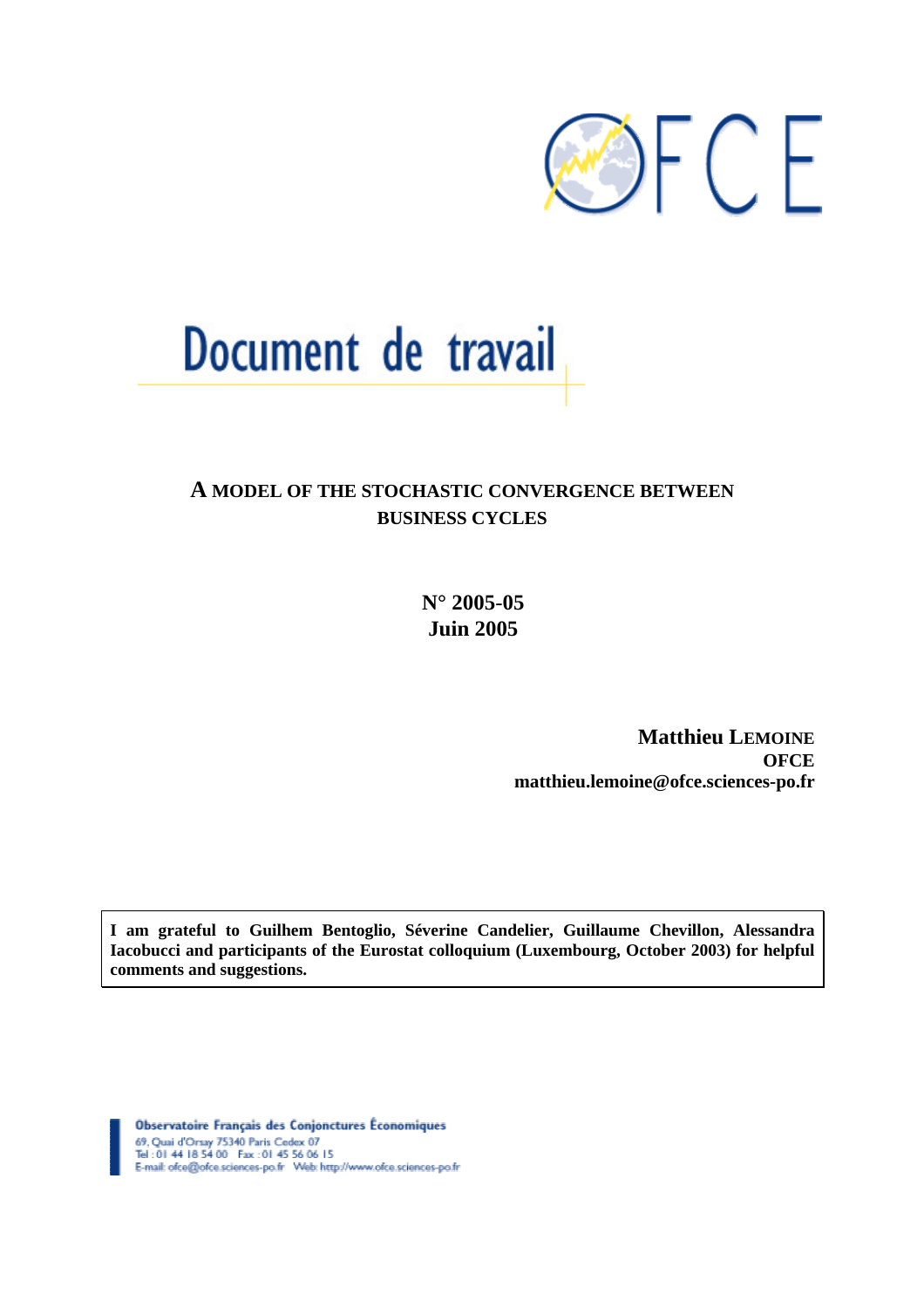

# Document de travail

# **A MODEL OF THE STOCHASTIC CONVERGENCE BETWEEN BUSINESS CYCLES**

**N° 2005***-***05 Juin 2005** 

> **Matthieu LEMOINE OFCE matthieu.lemoine@ofce.sciences-po.fr**

**I am grateful to Guilhem Bentoglio, Séverine Candelier, Guillaume Chevillon, Alessandra Iacobucci and participants of the Eurostat colloquium (Luxembourg, October 2003) for helpful comments and suggestions.** 

Observatoire Français des Conjonctures Économiques 69, Quai d'Orsay 75340 Paris Cedex 07<br>Tel : 01 44 18 54 00 Fax : 01 45 56 06 15<br>E-mail: ofce@ofce.sciences-po.fr Web: http://www.ofce.sciences-po.fr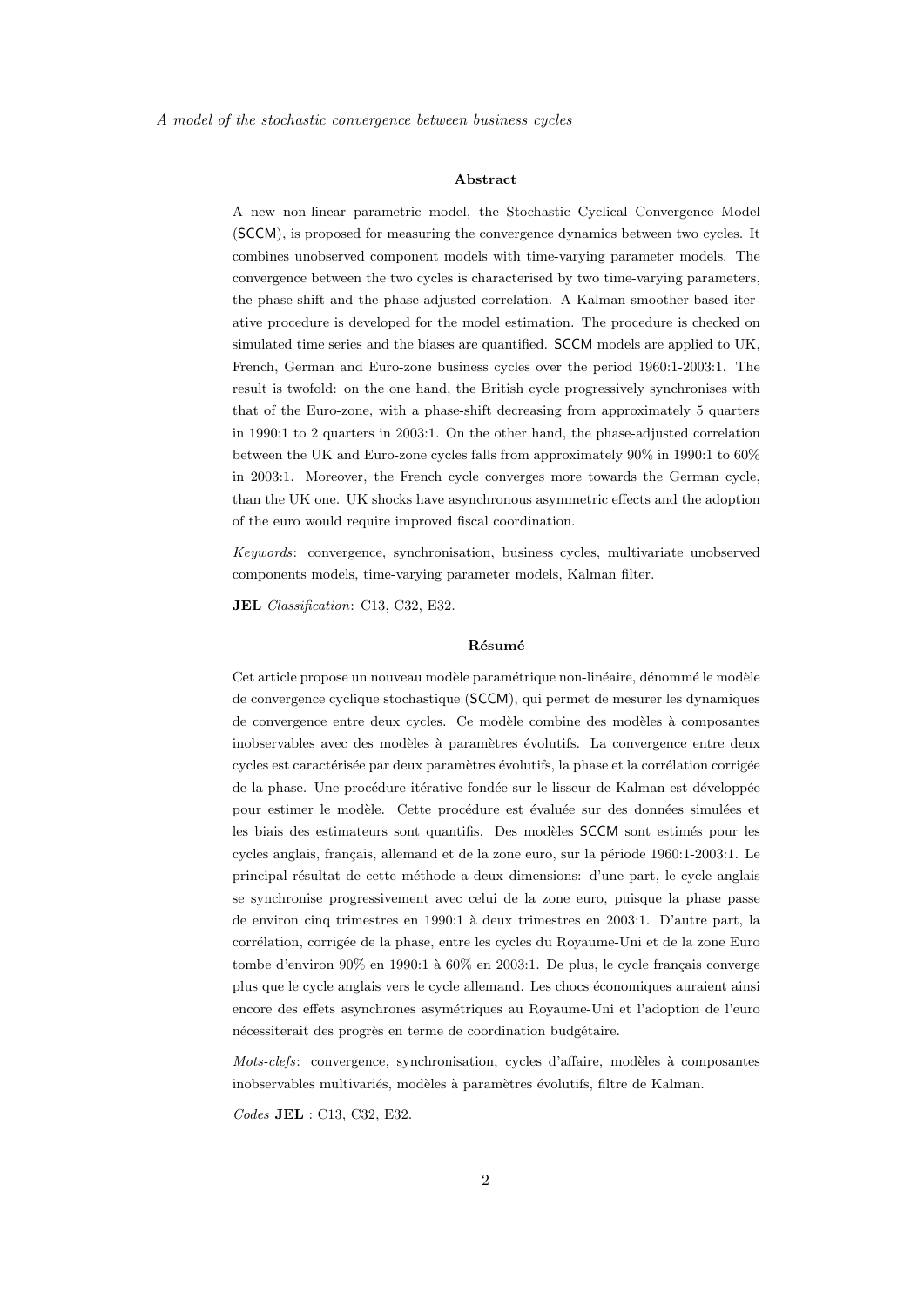#### Abstract

A new non-linear parametric model, the Stochastic Cyclical Convergence Model (SCCM), is proposed for measuring the convergence dynamics between two cycles. It combines unobserved component models with time-varying parameter models. The convergence between the two cycles is characterised by two time-varying parameters, the phase-shift and the phase-adjusted correlation. A Kalman smoother-based iterative procedure is developed for the model estimation. The procedure is checked on simulated time series and the biases are quantified. SCCM models are applied to UK, French, German and Euro-zone business cycles over the period 1960:1-2003:1. The result is twofold: on the one hand, the British cycle progressively synchronises with that of the Euro-zone, with a phase-shift decreasing from approximately 5 quarters in 1990:1 to 2 quarters in 2003:1. On the other hand, the phase-adjusted correlation between the UK and Euro-zone cycles falls from approximately 90% in 1990:1 to 60% in 2003:1. Moreover, the French cycle converges more towards the German cycle, than the UK one. UK shocks have asynchronous asymmetric effects and the adoption of the euro would require improved fiscal coordination.

Keywords: convergence, synchronisation, business cycles, multivariate unobserved components models, time-varying parameter models, Kalman filter.

JEL Classification: C13, C32, E32.

#### Résumé

Cet article propose un nouveau modèle paramétrique non-linéaire, dénommé le modèle de convergence cyclique stochastique (SCCM), qui permet de mesurer les dynamiques de convergence entre deux cycles. Ce modèle combine des modèles à composantes inobservables avec des modèles à paramètres évolutifs. La convergence entre deux cycles est caractérisée par deux paramètres évolutifs, la phase et la corrélation corrigée de la phase. Une procédure itérative fondée sur le lisseur de Kalman est développée pour estimer le modèle. Cette procédure est évaluée sur des données simulées et les biais des estimateurs sont quantifis. Des modèles SCCM sont estimés pour les cycles anglais, français, allemand et de la zone euro, sur la période 1960:1-2003:1. Le principal r´esultat de cette m´ethode a deux dimensions: d'une part, le cycle anglais se synchronise progressivement avec celui de la zone euro, puisque la phase passe de environ cinq trimestres en 1990:1 `a deux trimestres en 2003:1. D'autre part, la corrélation, corrigée de la phase, entre les cycles du Royaume-Uni et de la zone Euro tombe d'environ  $90\%$  en  $1990:1$  à  $60\%$  en  $2003:1$ . De plus, le cycle français converge plus que le cycle anglais vers le cycle allemand. Les chocs économiques auraient ainsi encore des effets asynchrones asym´etriques au Royaume-Uni et l'adoption de l'euro nécessiterait des progrès en terme de coordination budgétaire.

 $Mots-cleft$ : convergence, synchronisation, cycles d'affaire, modèles à composantes inobservables multivariés, modèles à paramètres évolutifs, filtre de Kalman.

Codes JEL : C13, C32, E32.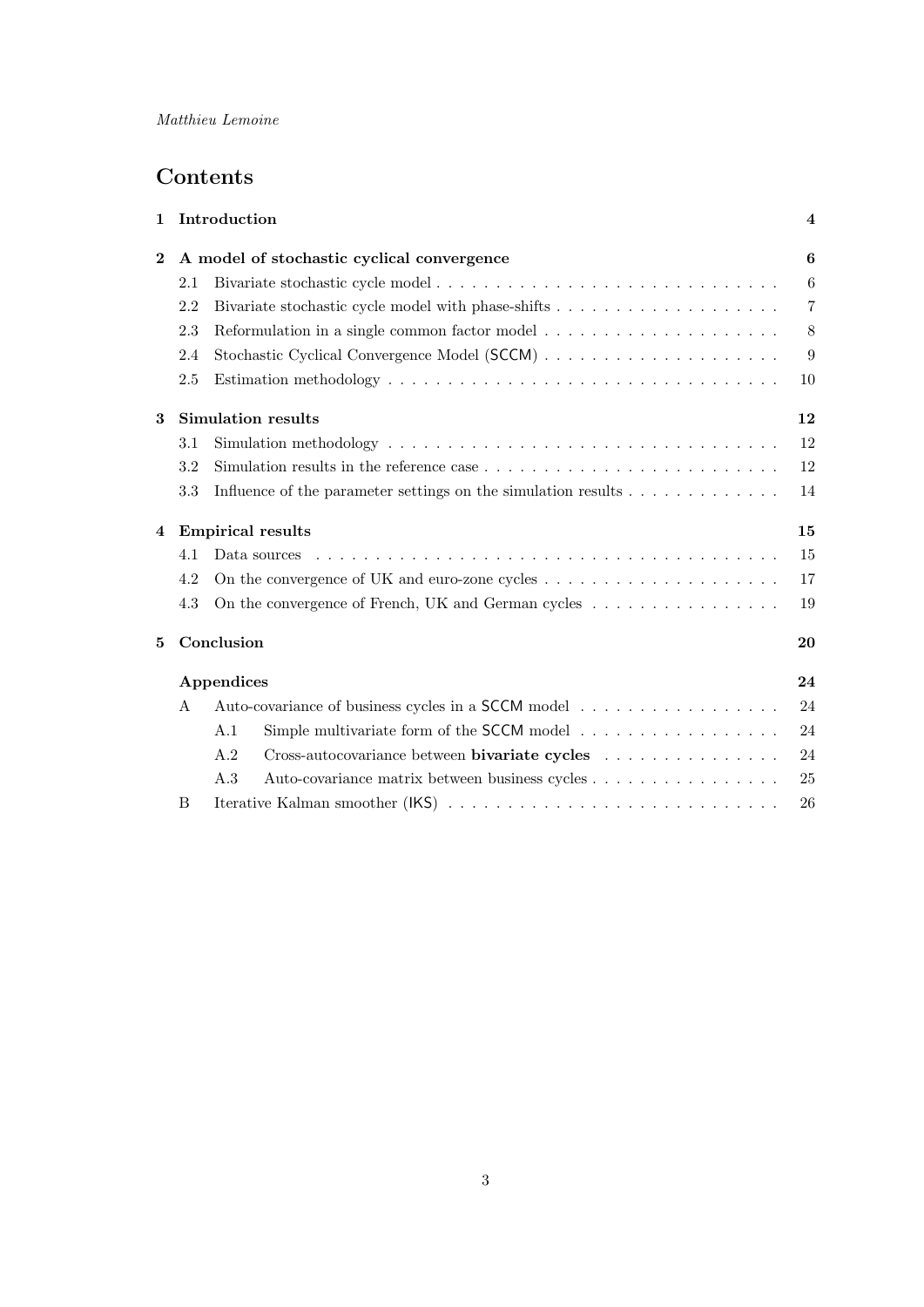# Contents

| 1              |     | Introduction                                                                                                 | $\bf{4}$       |
|----------------|-----|--------------------------------------------------------------------------------------------------------------|----------------|
| $\mathbf{2}$   |     | A model of stochastic cyclical convergence                                                                   | 6              |
|                | 2.1 |                                                                                                              | $6\,$          |
|                | 2.2 |                                                                                                              | $\overline{7}$ |
|                | 2.3 |                                                                                                              | 8              |
|                | 2.4 |                                                                                                              | 9              |
|                | 2.5 |                                                                                                              | 10             |
| 3              |     | <b>Simulation results</b>                                                                                    | 12             |
|                | 3.1 | Simulation methodology $\dots \dots \dots \dots \dots \dots \dots \dots \dots \dots \dots \dots \dots \dots$ | 12             |
|                | 3.2 | Simulation results in the reference case $\dots \dots \dots \dots \dots \dots \dots \dots \dots \dots$       | 12             |
|                | 3.3 | Influence of the parameter settings on the simulation results $\dots \dots \dots \dots$                      | 14             |
| $\overline{4}$ |     | <b>Empirical results</b>                                                                                     | 15             |
|                | 4.1 |                                                                                                              | 15             |
|                | 4.2 | On the convergence of UK and euro-zone cycles $\dots \dots \dots \dots \dots \dots \dots \dots$              | 17             |
|                | 4.3 | On the convergence of French, UK and German cycles                                                           | 19             |
| 5              |     | Conclusion                                                                                                   | 20             |
|                |     | Appendices                                                                                                   | 24             |
|                | A   |                                                                                                              | 24             |
|                |     | A.1<br>Simple multivariate form of the SCCM model $\ldots \ldots \ldots \ldots \ldots$                       | 24             |
|                |     | A.2<br>Cross-autocovariance between <b>bivariate cycles</b>                                                  | 24             |
|                |     | A.3<br>Auto-covariance matrix between business cycles                                                        | 25             |
|                | B   |                                                                                                              | 26             |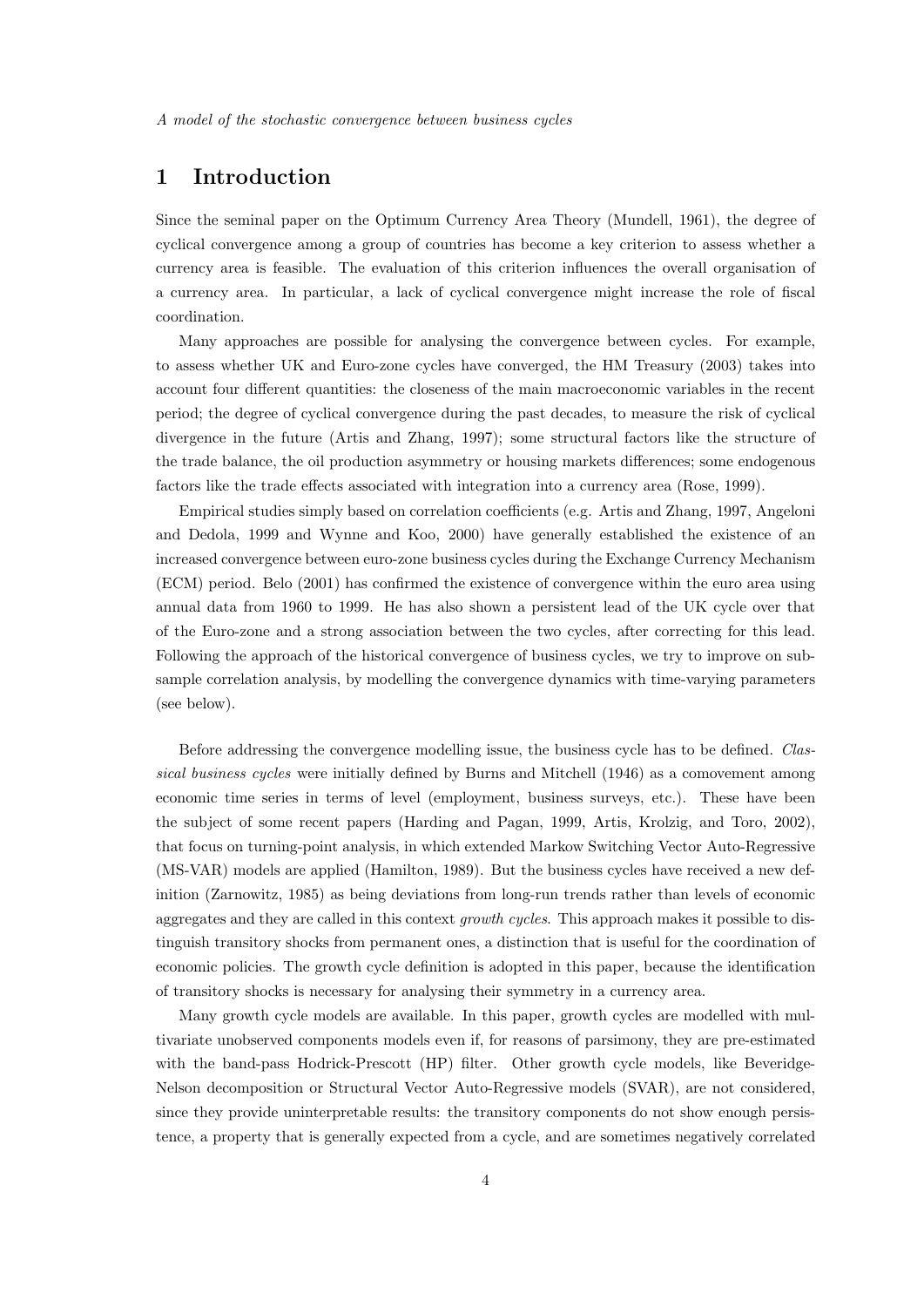# 1 Introduction

Since the seminal paper on the Optimum Currency Area Theory (Mundell, 1961), the degree of cyclical convergence among a group of countries has become a key criterion to assess whether a currency area is feasible. The evaluation of this criterion influences the overall organisation of a currency area. In particular, a lack of cyclical convergence might increase the role of fiscal coordination.

Many approaches are possible for analysing the convergence between cycles. For example, to assess whether UK and Euro-zone cycles have converged, the HM Treasury (2003) takes into account four different quantities: the closeness of the main macroeconomic variables in the recent period; the degree of cyclical convergence during the past decades, to measure the risk of cyclical divergence in the future (Artis and Zhang, 1997); some structural factors like the structure of the trade balance, the oil production asymmetry or housing markets differences; some endogenous factors like the trade effects associated with integration into a currency area (Rose, 1999).

Empirical studies simply based on correlation coefficients (e.g. Artis and Zhang, 1997, Angeloni and Dedola, 1999 and Wynne and Koo, 2000) have generally established the existence of an increased convergence between euro-zone business cycles during the Exchange Currency Mechanism (ECM) period. Belo (2001) has confirmed the existence of convergence within the euro area using annual data from 1960 to 1999. He has also shown a persistent lead of the UK cycle over that of the Euro-zone and a strong association between the two cycles, after correcting for this lead. Following the approach of the historical convergence of business cycles, we try to improve on subsample correlation analysis, by modelling the convergence dynamics with time-varying parameters (see below).

Before addressing the convergence modelling issue, the business cycle has to be defined. Classical business cycles were initially defined by Burns and Mitchell (1946) as a comovement among economic time series in terms of level (employment, business surveys, etc.). These have been the subject of some recent papers (Harding and Pagan, 1999, Artis, Krolzig, and Toro, 2002), that focus on turning-point analysis, in which extended Markow Switching Vector Auto-Regressive (MS-VAR) models are applied (Hamilton, 1989). But the business cycles have received a new definition (Zarnowitz, 1985) as being deviations from long-run trends rather than levels of economic aggregates and they are called in this context *growth cycles*. This approach makes it possible to distinguish transitory shocks from permanent ones, a distinction that is useful for the coordination of economic policies. The growth cycle definition is adopted in this paper, because the identification of transitory shocks is necessary for analysing their symmetry in a currency area.

Many growth cycle models are available. In this paper, growth cycles are modelled with multivariate unobserved components models even if, for reasons of parsimony, they are pre-estimated with the band-pass Hodrick-Prescott (HP) filter. Other growth cycle models, like Beveridge-Nelson decomposition or Structural Vector Auto-Regressive models (SVAR), are not considered, since they provide uninterpretable results: the transitory components do not show enough persistence, a property that is generally expected from a cycle, and are sometimes negatively correlated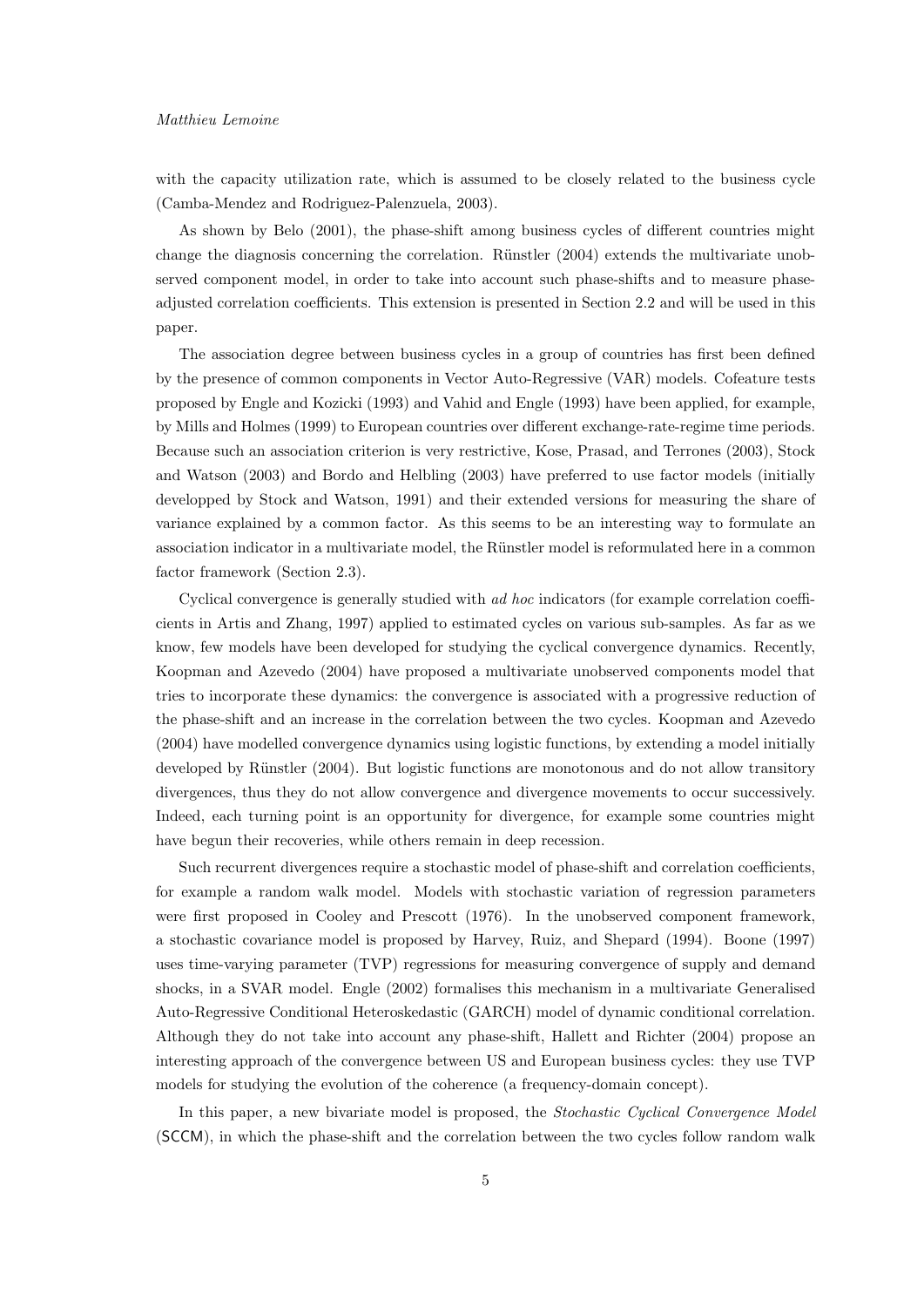#### Matthieu Lemoine

with the capacity utilization rate, which is assumed to be closely related to the business cycle (Camba-Mendez and Rodriguez-Palenzuela, 2003).

As shown by Belo (2001), the phase-shift among business cycles of different countries might change the diagnosis concerning the correlation. Rünstler  $(2004)$  extends the multivariate unobserved component model, in order to take into account such phase-shifts and to measure phaseadjusted correlation coefficients. This extension is presented in Section 2.2 and will be used in this paper.

The association degree between business cycles in a group of countries has first been defined by the presence of common components in Vector Auto-Regressive (VAR) models. Cofeature tests proposed by Engle and Kozicki (1993) and Vahid and Engle (1993) have been applied, for example, by Mills and Holmes (1999) to European countries over different exchange-rate-regime time periods. Because such an association criterion is very restrictive, Kose, Prasad, and Terrones (2003), Stock and Watson (2003) and Bordo and Helbling (2003) have preferred to use factor models (initially developped by Stock and Watson, 1991) and their extended versions for measuring the share of variance explained by a common factor. As this seems to be an interesting way to formulate an association indicator in a multivariate model, the Rünstler model is reformulated here in a common factor framework (Section 2.3).

Cyclical convergence is generally studied with ad hoc indicators (for example correlation coefficients in Artis and Zhang, 1997) applied to estimated cycles on various sub-samples. As far as we know, few models have been developed for studying the cyclical convergence dynamics. Recently, Koopman and Azevedo (2004) have proposed a multivariate unobserved components model that tries to incorporate these dynamics: the convergence is associated with a progressive reduction of the phase-shift and an increase in the correlation between the two cycles. Koopman and Azevedo (2004) have modelled convergence dynamics using logistic functions, by extending a model initially developed by Rünstler (2004). But logistic functions are monotonous and do not allow transitory divergences, thus they do not allow convergence and divergence movements to occur successively. Indeed, each turning point is an opportunity for divergence, for example some countries might have begun their recoveries, while others remain in deep recession.

Such recurrent divergences require a stochastic model of phase-shift and correlation coefficients, for example a random walk model. Models with stochastic variation of regression parameters were first proposed in Cooley and Prescott (1976). In the unobserved component framework, a stochastic covariance model is proposed by Harvey, Ruiz, and Shepard (1994). Boone (1997) uses time-varying parameter (TVP) regressions for measuring convergence of supply and demand shocks, in a SVAR model. Engle (2002) formalises this mechanism in a multivariate Generalised Auto-Regressive Conditional Heteroskedastic (GARCH) model of dynamic conditional correlation. Although they do not take into account any phase-shift, Hallett and Richter (2004) propose an interesting approach of the convergence between US and European business cycles: they use TVP models for studying the evolution of the coherence (a frequency-domain concept).

In this paper, a new bivariate model is proposed, the Stochastic Cyclical Convergence Model (SCCM), in which the phase-shift and the correlation between the two cycles follow random walk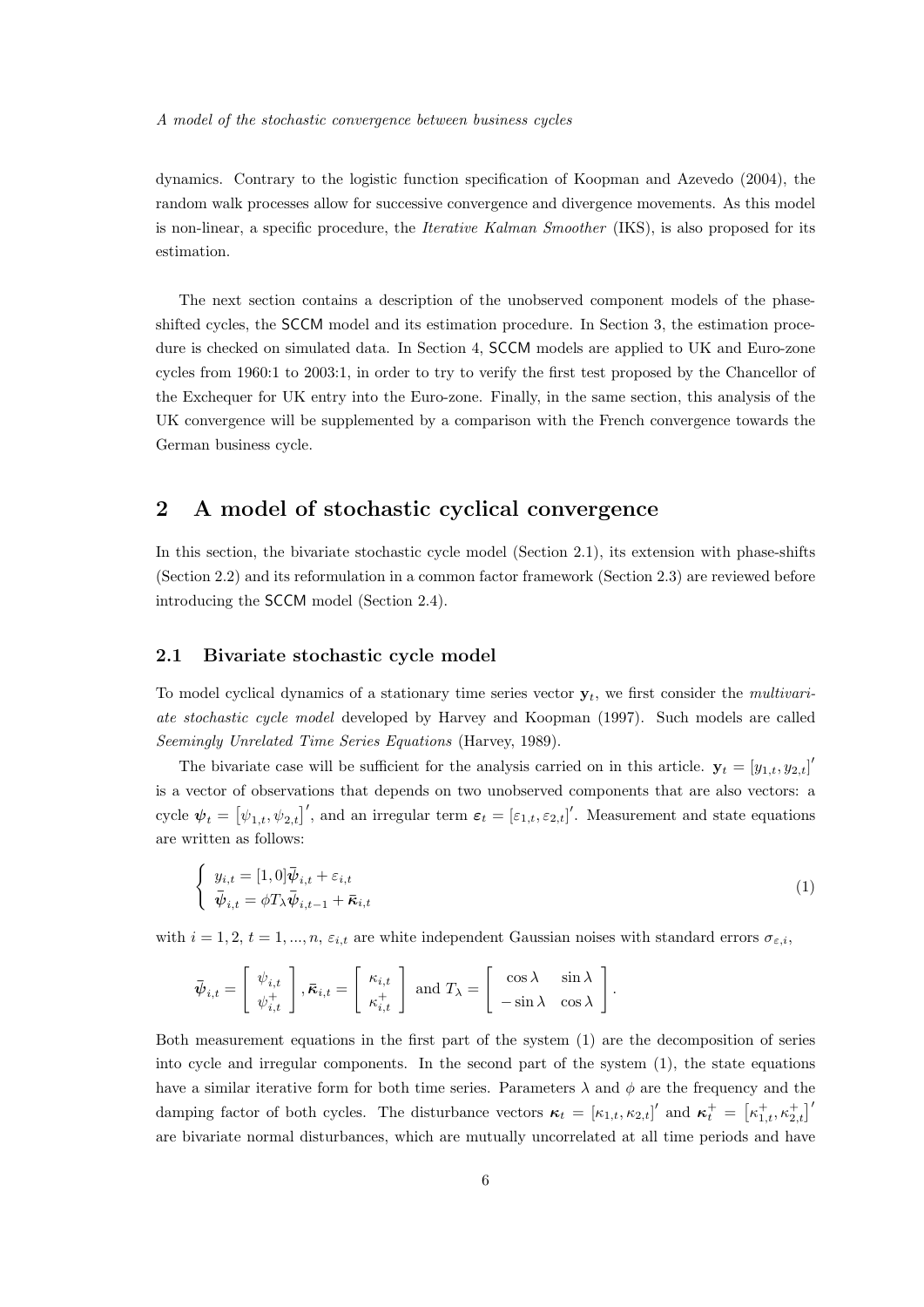dynamics. Contrary to the logistic function specification of Koopman and Azevedo (2004), the random walk processes allow for successive convergence and divergence movements. As this model is non-linear, a specific procedure, the Iterative Kalman Smoother (IKS), is also proposed for its estimation.

The next section contains a description of the unobserved component models of the phaseshifted cycles, the SCCM model and its estimation procedure. In Section 3, the estimation procedure is checked on simulated data. In Section 4, SCCM models are applied to UK and Euro-zone cycles from 1960:1 to 2003:1, in order to try to verify the first test proposed by the Chancellor of the Exchequer for UK entry into the Euro-zone. Finally, in the same section, this analysis of the UK convergence will be supplemented by a comparison with the French convergence towards the German business cycle.

# 2 A model of stochastic cyclical convergence

In this section, the bivariate stochastic cycle model (Section 2.1), its extension with phase-shifts (Section 2.2) and its reformulation in a common factor framework (Section 2.3) are reviewed before introducing the SCCM model (Section 2.4).

## 2.1 Bivariate stochastic cycle model

To model cyclical dynamics of a stationary time series vector  $y_t$ , we first consider the *multivari*ate stochastic cycle model developed by Harvey and Koopman (1997). Such models are called Seemingly Unrelated Time Series Equations (Harvey, 1989).

The bivariate case will be sufficient for the analysis carried on in this article.  $y_t = [y_{1,t}, y_{2,t}]$ is a vector of observations that depends on two unobserved components that are also vectors: a cycle  $\boldsymbol{\psi}_t = [\psi_{1,t}, \psi_{2,t}]'$ , and an irregular term  $\boldsymbol{\varepsilon}_t = [\varepsilon_{1,t}, \varepsilon_{2,t}]'$ . Measurement and state equations are written as follows:

$$
\begin{cases}\n y_{i,t} = [1,0] \bar{\boldsymbol{\psi}}_{i,t} + \varepsilon_{i,t} \\
 \bar{\boldsymbol{\psi}}_{i,t} = \phi T_{\lambda} \bar{\boldsymbol{\psi}}_{i,t-1} + \bar{\boldsymbol{\kappa}}_{i,t}\n\end{cases}
$$
\n(1)

with  $i = 1, 2, t = 1, ..., n$ ,  $\varepsilon_{i,t}$  are white independent Gaussian noises with standard errors  $\sigma_{\varepsilon,i}$ ,

$$
\bar{\boldsymbol{\psi}}_{i,t} = \begin{bmatrix} \psi_{i,t} \\ \psi_{i,t}^+ \end{bmatrix}, \bar{\boldsymbol{\kappa}}_{i,t} = \begin{bmatrix} \kappa_{i,t} \\ \kappa_{i,t}^+ \end{bmatrix} \text{ and } T_{\lambda} = \begin{bmatrix} \cos \lambda & \sin \lambda \\ -\sin \lambda & \cos \lambda \end{bmatrix}.
$$

Both measurement equations in the first part of the system (1) are the decomposition of series into cycle and irregular components. In the second part of the system (1), the state equations have a similar iterative form for both time series. Parameters  $\lambda$  and  $\phi$  are the frequency and the damping factor of both cycles. The disturbance vectors  $\kappa_t = [\kappa_{1,t}, \kappa_{2,t}]'$  and  $\kappa_t^+ = [\kappa_{1,t}^+, \kappa_{2,t}^+]'$ are bivariate normal disturbances, which are mutually uncorrelated at all time periods and have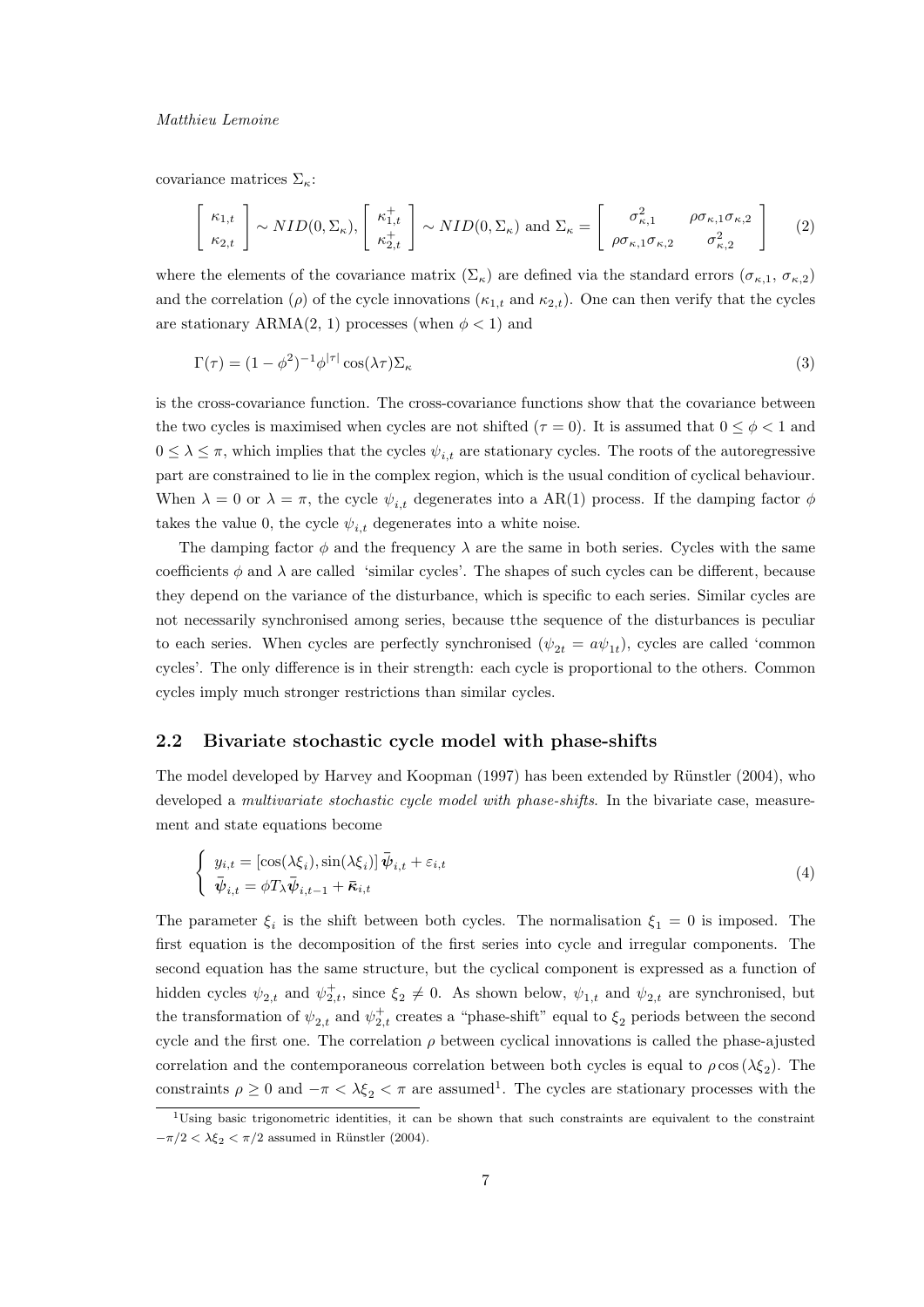## Matthieu Lemoine

covariance matrices  $\Sigma_{\kappa}$ :

$$
\begin{bmatrix} \kappa_{1,t} \\ \kappa_{2,t} \end{bmatrix} \sim NID(0, \Sigma_{\kappa}), \begin{bmatrix} \kappa_{1,t}^+ \\ \kappa_{2,t}^+ \end{bmatrix} \sim NID(0, \Sigma_{\kappa}) \text{ and } \Sigma_{\kappa} = \begin{bmatrix} \sigma_{\kappa,1}^2 & \rho \sigma_{\kappa,1} \sigma_{\kappa,2} \\ \rho \sigma_{\kappa,1} \sigma_{\kappa,2} & \sigma_{\kappa,2}^2 \end{bmatrix}
$$
 (2)

where the elements of the covariance matrix  $(\Sigma_{\kappa})$  are defined via the standard errors  $(\sigma_{\kappa,1}, \sigma_{\kappa,2})$ and the correlation ( $\rho$ ) of the cycle innovations ( $\kappa_{1,t}$  and  $\kappa_{2,t}$ ). One can then verify that the cycles are stationary ARMA $(2, 1)$  processes (when  $\phi < 1$ ) and

$$
\Gamma(\tau) = (1 - \phi^2)^{-1} \phi^{|\tau|} \cos(\lambda \tau) \Sigma_{\kappa} \tag{3}
$$

is the cross-covariance function. The cross-covariance functions show that the covariance between the two cycles is maximised when cycles are not shifted ( $\tau = 0$ ). It is assumed that  $0 \leq \phi < 1$  and  $0 \leq \lambda \leq \pi$ , which implies that the cycles  $\psi_{i,t}$  are stationary cycles. The roots of the autoregressive part are constrained to lie in the complex region, which is the usual condition of cyclical behaviour. When  $\lambda = 0$  or  $\lambda = \pi$ , the cycle  $\psi_{i,t}$  degenerates into a AR(1) process. If the damping factor  $\phi$ takes the value 0, the cycle  $\psi_{i,t}$  degenerates into a white noise.

The damping factor  $\phi$  and the frequency  $\lambda$  are the same in both series. Cycles with the same coefficients  $\phi$  and  $\lambda$  are called 'similar cycles'. The shapes of such cycles can be different, because they depend on the variance of the disturbance, which is specific to each series. Similar cycles are not necessarily synchronised among series, because tthe sequence of the disturbances is peculiar to each series. When cycles are perfectly synchronised  $(\psi_{2t} = a\psi_{1t})$ , cycles are called 'common cycles'. The only difference is in their strength: each cycle is proportional to the others. Common cycles imply much stronger restrictions than similar cycles.

# 2.2 Bivariate stochastic cycle model with phase-shifts

The model developed by Harvey and Koopman (1997) has been extended by Rünstler (2004), who developed a *multivariate stochastic cycle model with phase-shifts*. In the bivariate case, measurement and state equations become

$$
\begin{cases} y_{i,t} = \left[ \cos(\lambda \xi_i), \sin(\lambda \xi_i) \right] \bar{\psi}_{i,t} + \varepsilon_{i,t} \\ \bar{\psi}_{i,t} = \phi T_{\lambda} \bar{\psi}_{i,t-1} + \bar{\kappa}_{i,t} \end{cases}
$$
\n(4)

The parameter  $\xi_i$  is the shift between both cycles. The normalisation  $\xi_1 = 0$  is imposed. The first equation is the decomposition of the first series into cycle and irregular components. The second equation has the same structure, but the cyclical component is expressed as a function of hidden cycles  $\psi_{2,t}$  and  $\psi_{2,t}^+$ , since  $\xi_2 \neq 0$ . As shown below,  $\psi_{1,t}$  and  $\psi_{2,t}$  are synchronised, but the transformation of  $\psi_{2,t}$  and  $\psi_{2,t}^+$  creates a "phase-shift" equal to  $\xi_2$  periods between the second cycle and the first one. The correlation  $\rho$  between cyclical innovations is called the phase-ajusted correlation and the contemporaneous correlation between both cycles is equal to  $\rho \cos(\lambda \xi_2)$ . The constraints  $\rho \geq 0$  and  $-\pi < \lambda \xi_2 < \pi$  are assumed<sup>1</sup>. The cycles are stationary processes with the

<sup>1</sup>Using basic trigonometric identities, it can be shown that such constraints are equivalent to the constraint  $-\pi/2 < \lambda \xi_2 < \pi/2$  assumed in Rünstler (2004).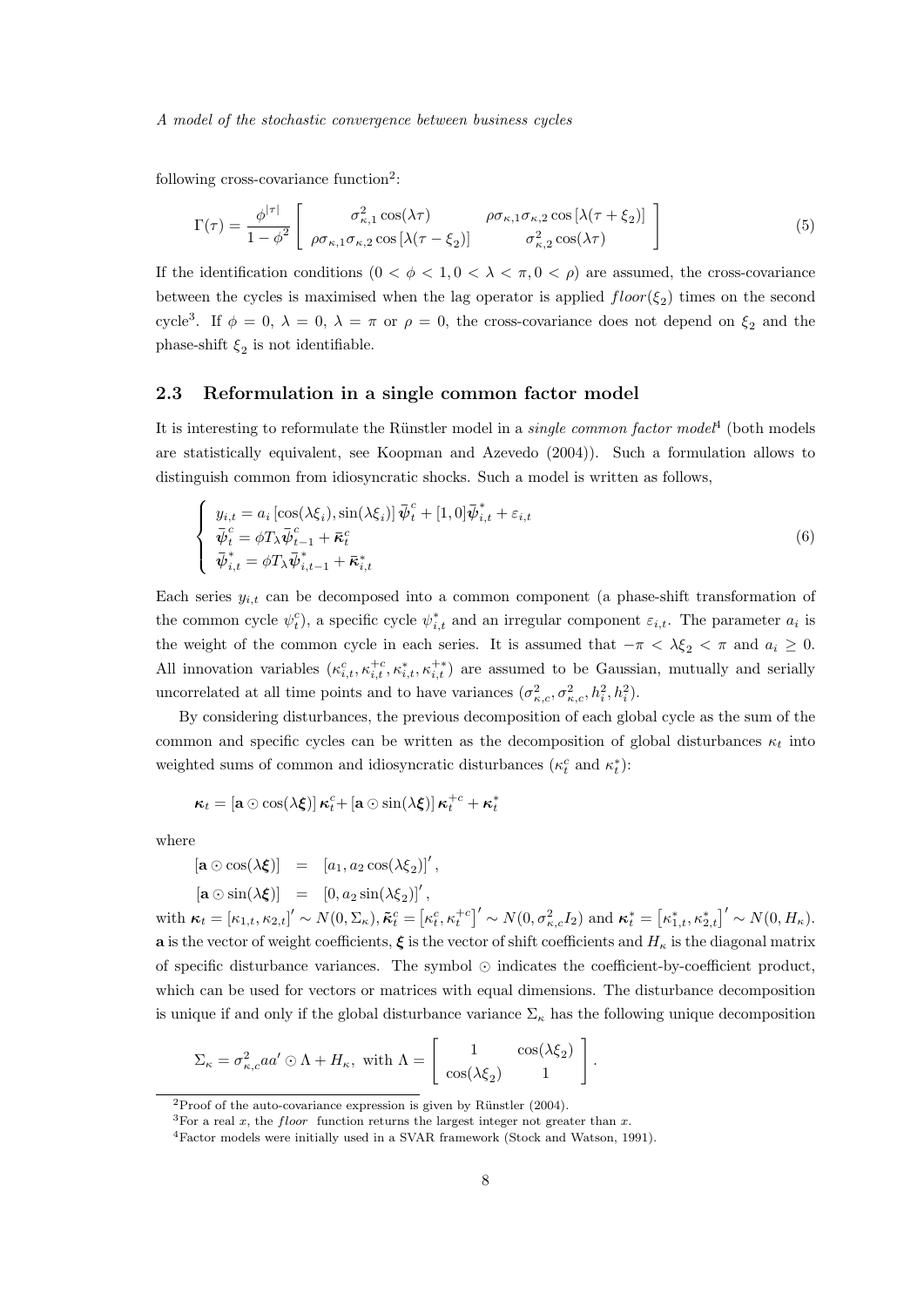following cross-covariance function<sup>2</sup>:

$$
\Gamma(\tau) = \frac{\phi^{|\tau|}}{1 - \phi^2} \begin{bmatrix} \sigma_{\kappa,1}^2 \cos(\lambda \tau) & \rho \sigma_{\kappa,1} \sigma_{\kappa,2} \cos[\lambda(\tau + \xi_2)] \\ \rho \sigma_{\kappa,1} \sigma_{\kappa,2} \cos[\lambda(\tau - \xi_2)] & \sigma_{\kappa,2}^2 \cos(\lambda \tau) \end{bmatrix}
$$
(5)

If the identification conditions  $(0 < \phi < 1, 0 < \lambda < \pi, 0 < \rho)$  are assumed, the cross-covariance between the cycles is maximised when the lag operator is applied  $floor(\xi_2)$  times on the second cycle<sup>3</sup>. If  $\phi = 0$ ,  $\lambda = 0$ ,  $\lambda = \pi$  or  $\rho = 0$ , the cross-covariance does not depend on  $\xi_2$  and the phase-shift  $\xi_2$  is not identifiable.

## 2.3 Reformulation in a single common factor model

It is interesting to reformulate the Rünstler model in a *single common factor model*<sup>4</sup> (both models are statistically equivalent, see Koopman and Azevedo (2004)). Such a formulation allows to distinguish common from idiosyncratic shocks. Such a model is written as follows,

$$
\begin{cases}\ny_{i,t} = a_i \left[\cos(\lambda \xi_i), \sin(\lambda \xi_i)\right] \bar{\psi}_t^c + [1, 0] \bar{\psi}_{i,t}^* + \varepsilon_{i,t} \\
\bar{\psi}_t^c = \phi T_\lambda \bar{\psi}_{t-1}^c + \bar{\kappa}_t^c \\
\bar{\psi}_{i,t}^* = \phi T_\lambda \bar{\psi}_{i,t-1}^* + \bar{\kappa}_{i,t}^*\n\end{cases} \tag{6}
$$

Each series  $y_{i,t}$  can be decomposed into a common component (a phase-shift transformation of the common cycle  $\psi_t^c$ , a specific cycle  $\psi_{i,t}^*$  and an irregular component  $\varepsilon_{i,t}$ . The parameter  $a_i$  is the weight of the common cycle in each series. It is assumed that  $-\pi < \lambda \xi_2 < \pi$  and  $a_i \geq 0$ . All innovation variables  $(\kappa_{i,t}^c, \kappa_{i,t}^+, \kappa_{i,t}^+, \kappa_{i,t}^+)$  are assumed to be Gaussian, mutually and serially uncorrelated at all time points and to have variances  $(\sigma_{\kappa,c}^2, \sigma_{\kappa,c}^2, h_i^2, h_i^2)$ .

By considering disturbances, the previous decomposition of each global cycle as the sum of the common and specific cycles can be written as the decomposition of global disturbances  $\kappa_t$  into weighted sums of common and idiosyncratic disturbances  $(\kappa_t^c$  and  $\kappa_t^*)$ :

$$
\boldsymbol{\kappa}_t = \left[\mathbf{a} \odot \cos(\lambda \boldsymbol{\xi})\right] \boldsymbol{\kappa}_t^c + \left[\mathbf{a} \odot \sin(\lambda \boldsymbol{\xi})\right] \boldsymbol{\kappa}_t^{+c} + \boldsymbol{\kappa}_t^*
$$

where

$$
[\mathbf{a} \odot \cos(\lambda \boldsymbol{\xi})] = [a_1, a_2 \cos(\lambda \boldsymbol{\xi}_2)]',
$$

$$
[\mathbf{a} \odot \sin(\lambda \xi)] = [0, a_2 \sin(\lambda \xi_2)]',
$$

with  $\boldsymbol{\kappa}_t = [\kappa_{1,t}, \kappa_{2,t}]' \sim N(0, \Sigma_\kappa), \boldsymbol{\tilde{\kappa}}_t^c = [\kappa_t^c, \kappa_t^{+c}]' \sim N(0, \sigma_{\kappa,c}^2 I_2)$  and  $\boldsymbol{\kappa}_t^* = [\kappa_{1,t}^*, \kappa_{2,t}^*]' \sim N(0, H_\kappa)$ . a is the vector of weight coefficients,  $\xi$  is the vector of shift coefficients and  $H_{\kappa}$  is the diagonal matrix of specific disturbance variances. The symbol  $\odot$  indicates the coefficient-by-coefficient product, which can be used for vectors or matrices with equal dimensions. The disturbance decomposition is unique if and only if the global disturbance variance  $\Sigma_{\kappa}$  has the following unique decomposition

$$
\Sigma_{\kappa} = \sigma_{\kappa,c}^2 a a' \odot \Lambda + H_{\kappa}, \text{ with } \Lambda = \begin{bmatrix} 1 & \cos(\lambda \xi_2) \\ \cos(\lambda \xi_2) & 1 \end{bmatrix}.
$$

 $2$ Proof of the auto-covariance expression is given by Rünstler (2004).

<sup>&</sup>lt;sup>3</sup>For a real x, the floor function returns the largest integer not greater than x.

<sup>4</sup>Factor models were initially used in a SVAR framework (Stock and Watson, 1991).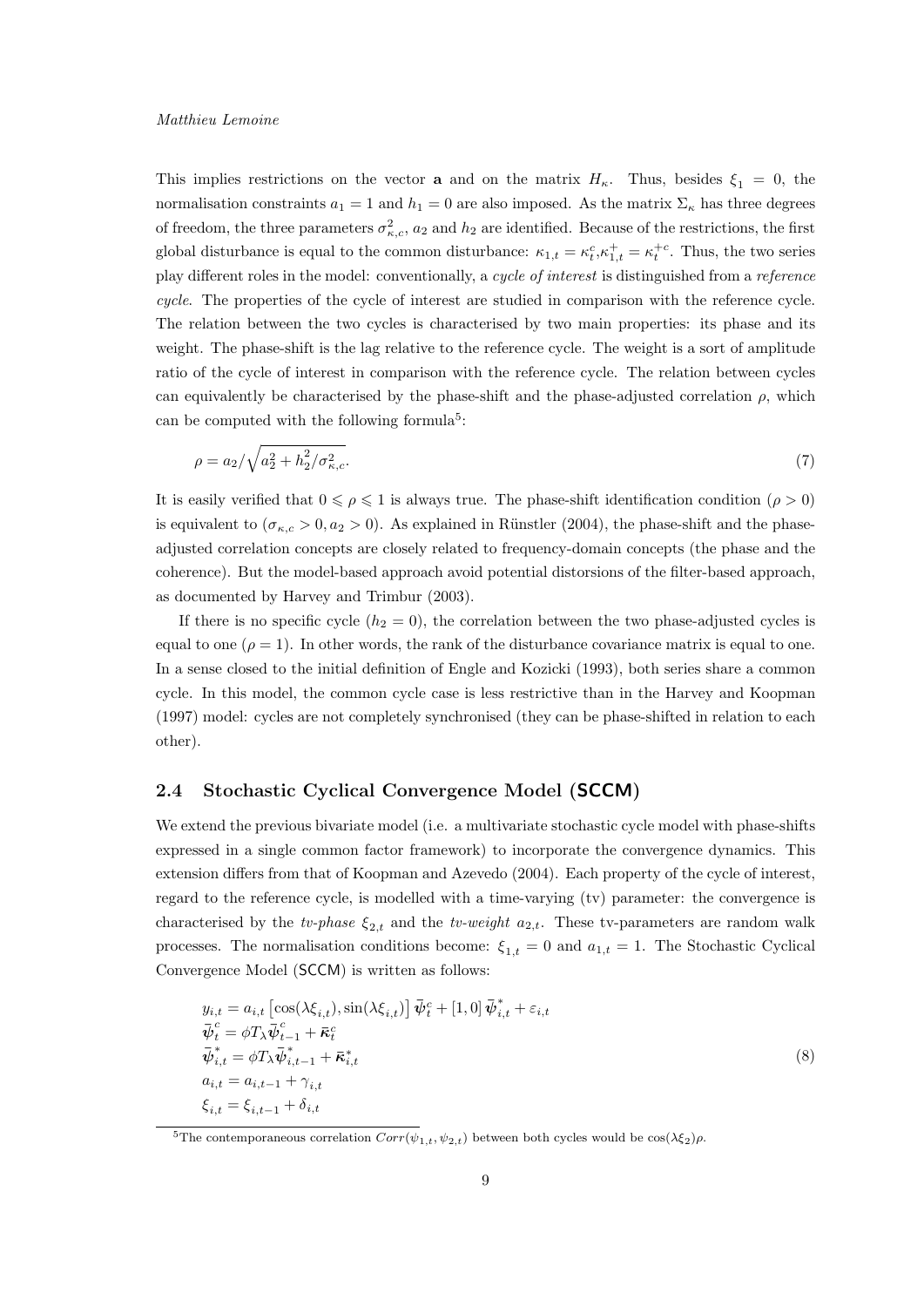This implies restrictions on the vector **a** and on the matrix  $H_{\kappa}$ . Thus, besides  $\xi_1 = 0$ , the normalisation constraints  $a_1 = 1$  and  $h_1 = 0$  are also imposed. As the matrix  $\Sigma_{\kappa}$  has three degrees of freedom, the three parameters  $\sigma_{\kappa,c}^2$ ,  $a_2$  and  $h_2$  are identified. Because of the restrictions, the first global disturbance is equal to the common disturbance:  $\kappa_{1,t} = \kappa_t^c, \kappa_{1,t}^+ = \kappa_t^{+c}$ . Thus, the two series play different roles in the model: conventionally, a cycle of interest is distinguished from a reference cycle. The properties of the cycle of interest are studied in comparison with the reference cycle. The relation between the two cycles is characterised by two main properties: its phase and its weight. The phase-shift is the lag relative to the reference cycle. The weight is a sort of amplitude ratio of the cycle of interest in comparison with the reference cycle. The relation between cycles can equivalently be characterised by the phase-shift and the phase-adjusted correlation  $\rho$ , which can be computed with the following formula<sup>5</sup>:

$$
\rho = a_2 / \sqrt{a_2^2 + h_2^2 / \sigma_{\kappa,c}^2}.
$$
\n(7)

It is easily verified that  $0 \le \rho \le 1$  is always true. The phase-shift identification condition  $(\rho > 0)$ is equivalent to  $(\sigma_{\kappa,c} > 0, a_2 > 0)$ . As explained in Rünstler (2004), the phase-shift and the phaseadjusted correlation concepts are closely related to frequency-domain concepts (the phase and the coherence). But the model-based approach avoid potential distorsions of the filter-based approach, as documented by Harvey and Trimbur (2003).

If there is no specific cycle  $(h_2 = 0)$ , the correlation between the two phase-adjusted cycles is equal to one ( $\rho = 1$ ). In other words, the rank of the disturbance covariance matrix is equal to one. In a sense closed to the initial definition of Engle and Kozicki (1993), both series share a common cycle. In this model, the common cycle case is less restrictive than in the Harvey and Koopman (1997) model: cycles are not completely synchronised (they can be phase-shifted in relation to each other).

# 2.4 Stochastic Cyclical Convergence Model (SCCM)

We extend the previous bivariate model (i.e. a multivariate stochastic cycle model with phase-shifts expressed in a single common factor framework) to incorporate the convergence dynamics. This extension differs from that of Koopman and Azevedo (2004). Each property of the cycle of interest, regard to the reference cycle, is modelled with a time-varying (tv) parameter: the convergence is characterised by the tv-phase  $\xi_{2,t}$  and the tv-weight  $a_{2,t}$ . These tv-parameters are random walk processes. The normalisation conditions become:  $\xi_{1,t} = 0$  and  $a_{1,t} = 1$ . The Stochastic Cyclical Convergence Model (SCCM) is written as follows:

$$
y_{i,t} = a_{i,t} \left[ \cos(\lambda \xi_{i,t}), \sin(\lambda \xi_{i,t}) \right] \vec{\psi}_t^c + [1, 0] \vec{\psi}_{i,t}^* + \varepsilon_{i,t}
$$
  
\n
$$
\vec{\psi}_t^c = \phi T_\lambda \vec{\psi}_{t-1}^c + \vec{\kappa}_t^c
$$
  
\n
$$
\vec{\psi}_{i,t}^* = \phi T_\lambda \vec{\psi}_{i,t-1}^* + \vec{\kappa}_{i,t}^*
$$
  
\n
$$
a_{i,t} = a_{i,t-1} + \gamma_{i,t}
$$
  
\n
$$
\xi_{i,t} = \xi_{i,t-1} + \delta_{i,t}
$$
\n(8)

<sup>&</sup>lt;sup>5</sup>The contemporaneous correlation  $Corr(\psi_{1,t}, \psi_{2,t})$  between both cycles would be  $\cos(\lambda \xi_2)\rho$ .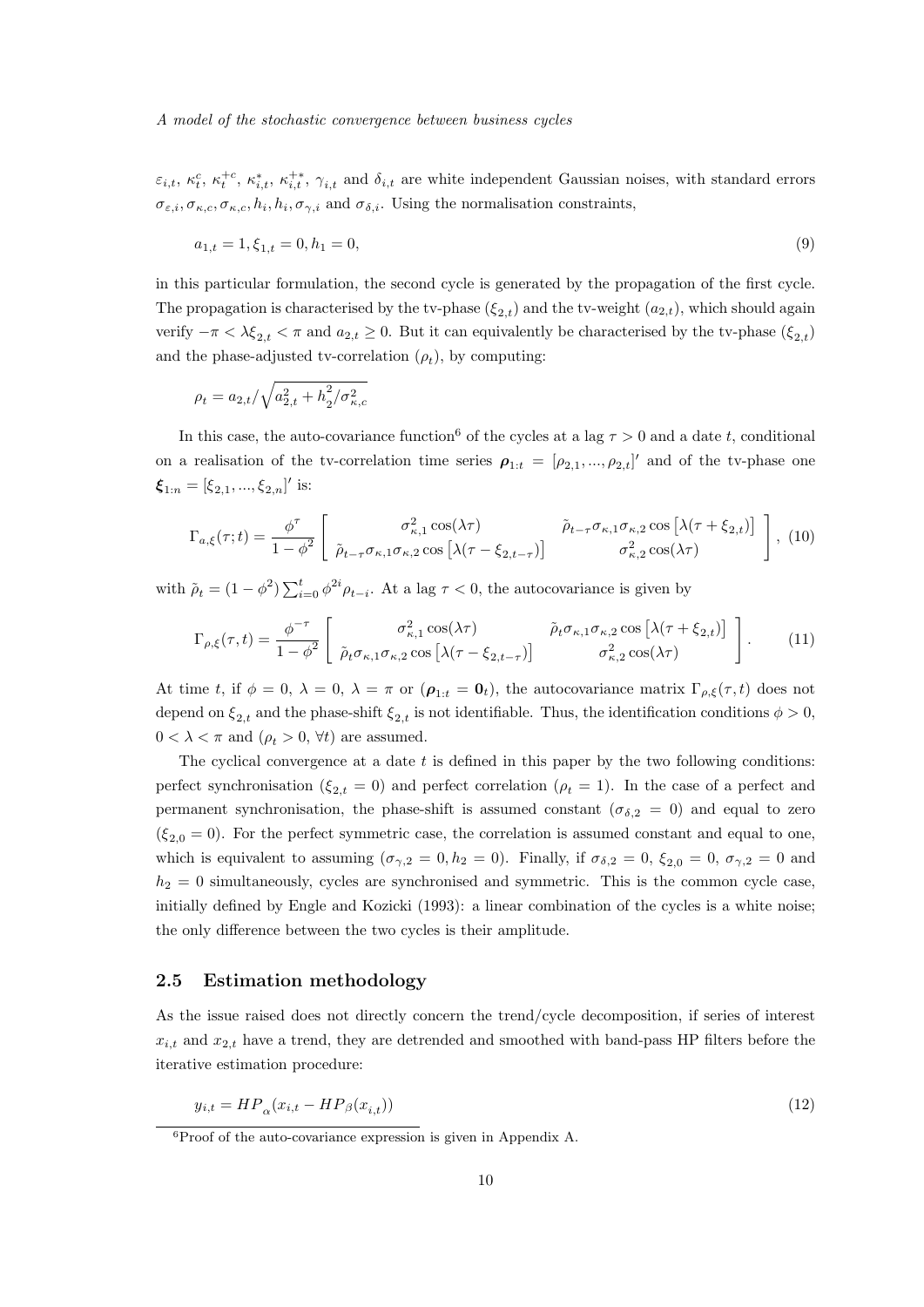$\varepsilon_{i,t}, \kappa_t^c, \kappa_t^{+c}, \kappa_{i,t}^*, \kappa_{i,t}^{+*}, \gamma_{i,t}$  and  $\delta_{i,t}$  are white independent Gaussian noises, with standard errors  $\sigma_{\varepsilon,i}, \sigma_{\kappa,c}, \sigma_{\kappa,c}, h_i, h_i, \sigma_{\gamma,i}$  and  $\sigma_{\delta,i}$ . Using the normalisation constraints,

$$
a_{1,t} = 1, \xi_{1,t} = 0, h_1 = 0,\tag{9}
$$

in this particular formulation, the second cycle is generated by the propagation of the first cycle. The propagation is characterised by the tv-phase  $(\xi_{2,t})$  and the tv-weight  $(a_{2,t})$ , which should again verify  $-\pi < \lambda \xi_{2,t} < \pi$  and  $a_{2,t} \geq 0$ . But it can equivalently be characterised by the tv-phase  $(\xi_{2,t})$ and the phase-adjusted tv-correlation  $(\rho_t)$ , by computing:

$$
\rho_t = a_{2,t} / \sqrt{a_{2,t}^2 + h_2^2 / \sigma_{\kappa,c}^2}
$$

In this case, the auto-covariance function<sup>6</sup> of the cycles at a lag  $\tau > 0$  and a date t, conditional on a realisation of the tv-correlation time series  $\rho_{1:t} = [\rho_{2,1}, ..., \rho_{2,t}]'$  and of the tv-phase one  $\boldsymbol{\xi}_{1:n} = [\xi_{2,1}, ..., \xi_{2,n}]'$  is:

$$
\Gamma_{a,\xi}(\tau;t) = \frac{\phi^{\tau}}{1-\phi^2} \left[ \begin{array}{cc} \sigma_{\kappa,1}^2 \cos(\lambda \tau) & \tilde{\rho}_{t-\tau} \sigma_{\kappa,1} \sigma_{\kappa,2} \cos\left[\lambda(\tau+\xi_{2,t})\right] \\ \tilde{\rho}_{t-\tau} \sigma_{\kappa,1} \sigma_{\kappa,2} \cos\left[\lambda(\tau-\xi_{2,t-\tau})\right] & \sigma_{\kappa,2}^2 \cos(\lambda \tau) \end{array} \right], (10)
$$

with  $\tilde{\rho}_t = (1 - \phi^2) \sum_{i=0}^t \phi^{2i} \rho_{t-i}$ . At a lag  $\tau < 0$ , the autocovariance is given by

$$
\Gamma_{\rho,\xi}(\tau,t) = \frac{\phi^{-\tau}}{1-\phi^2} \begin{bmatrix} \sigma_{\kappa,1}^2 \cos(\lambda \tau) & \tilde{\rho}_t \sigma_{\kappa,1} \sigma_{\kappa,2} \cos\left[\lambda(\tau + \xi_{2,t})\right] \\ \tilde{\rho}_t \sigma_{\kappa,1} \sigma_{\kappa,2} \cos\left[\lambda(\tau - \xi_{2,t-\tau})\right] & \sigma_{\kappa,2}^2 \cos(\lambda \tau) \end{bmatrix} . \tag{11}
$$

At time t, if  $\phi = 0$ ,  $\lambda = 0$ ,  $\lambda = \pi$  or  $(\rho_{1:t} = 0_t)$ , the autocovariance matrix  $\Gamma_{\rho,\xi}(\tau,t)$  does not depend on  $\xi_{2,t}$  and the phase-shift  $\xi_{2,t}$  is not identifiable. Thus, the identification conditions  $\phi > 0$ ,  $0 < \lambda < \pi$  and  $(\rho_t > 0, \forall t)$  are assumed.

The cyclical convergence at a date  $t$  is defined in this paper by the two following conditions: perfect synchronisation ( $\xi_{2,t} = 0$ ) and perfect correlation ( $\rho_t = 1$ ). In the case of a perfect and permanent synchronisation, the phase-shift is assumed constant ( $\sigma_{\delta,2} = 0$ ) and equal to zero  $(\xi_{2,0} = 0)$ . For the perfect symmetric case, the correlation is assumed constant and equal to one, which is equivalent to assuming  $(\sigma_{\gamma,2} = 0, h_2 = 0)$ . Finally, if  $\sigma_{\delta,2} = 0, \xi_{2,0} = 0, \sigma_{\gamma,2} = 0$  and  $h_2 = 0$  simultaneously, cycles are synchronised and symmetric. This is the common cycle case, initially defined by Engle and Kozicki (1993): a linear combination of the cycles is a white noise; the only difference between the two cycles is their amplitude.

# 2.5 Estimation methodology

As the issue raised does not directly concern the trend/cycle decomposition, if series of interest  $x_{i,t}$  and  $x_{2,t}$  have a trend, they are detrended and smoothed with band-pass HP filters before the iterative estimation procedure:

$$
y_{i,t} = HP_{\alpha}(x_{i,t} - HP_{\beta}(x_{i,t}))
$$
\n<sup>(12)</sup>

 ${}^{6}P$ roof of the auto-covariance expression is given in Appendix A.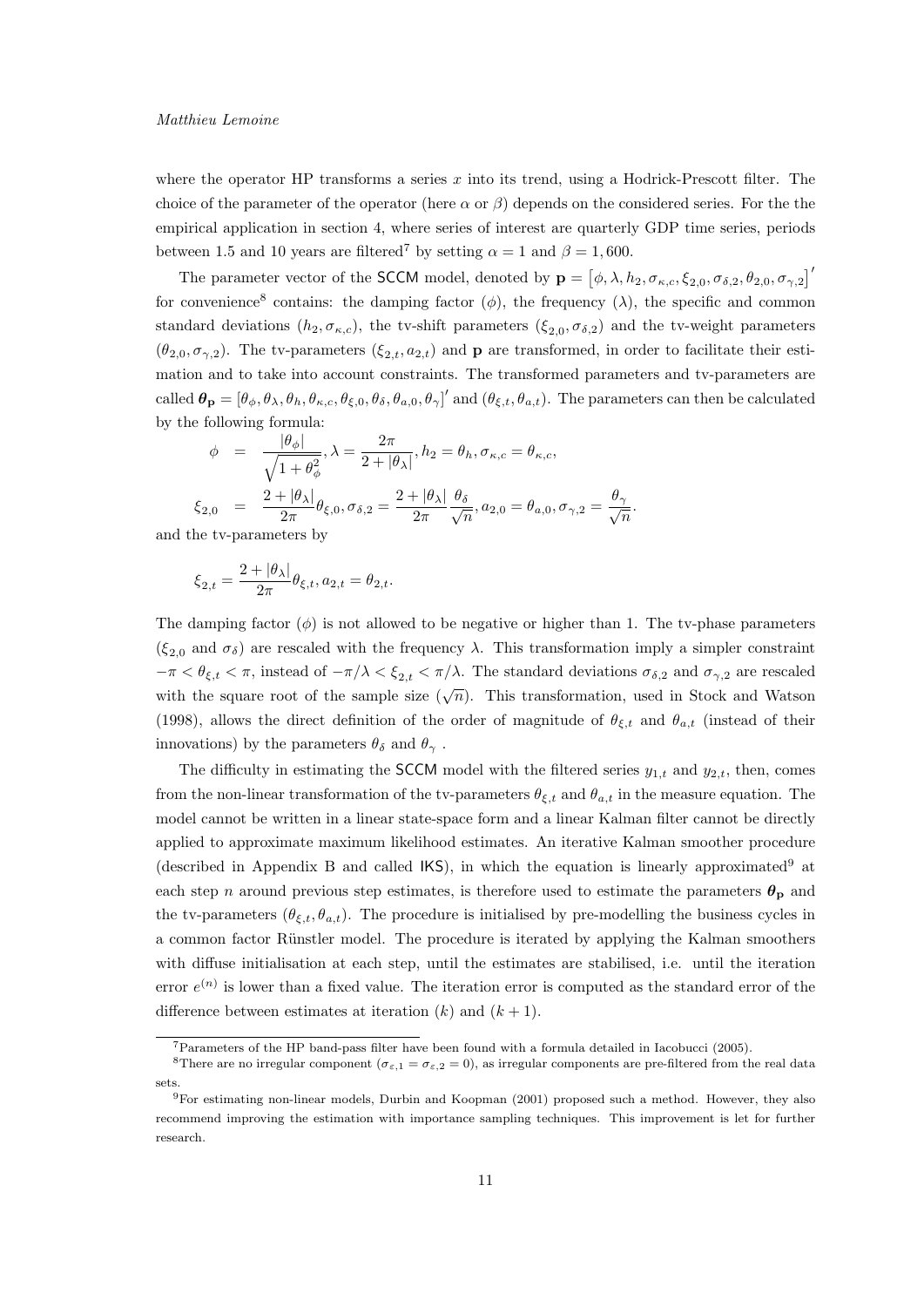where the operator HP transforms a series  $x$  into its trend, using a Hodrick-Prescott filter. The choice of the parameter of the operator (here  $\alpha$  or  $\beta$ ) depends on the considered series. For the the empirical application in section 4, where series of interest are quarterly GDP time series, periods between 1.5 and 10 years are filtered<sup>7</sup> by setting  $\alpha = 1$  and  $\beta = 1,600$ .

The parameter vector of the SCCM model, denoted by  $\mathbf{p} = [\phi, \lambda, h_2, \sigma_{\kappa,c}, \xi_{2,0}, \sigma_{\delta,2}, \theta_{2,0}, \sigma_{\gamma,2}]^T$ for convenience<sup>8</sup> contains: the damping factor  $(\phi)$ , the frequency  $(\lambda)$ , the specific and common standard deviations  $(h_2, \sigma_{\kappa,c})$ , the tv-shift parameters  $(\xi_{2,0}, \sigma_{\delta,2})$  and the tv-weight parameters  $(\theta_{2,0}, \sigma_{\gamma,2})$ . The tv-parameters  $(\xi_{2,t}, a_{2,t})$  and **p** are transformed, in order to facilitate their estimation and to take into account constraints. The transformed parameters and tv-parameters are called  $\theta_{\bf p} = [\theta_{\phi}, \theta_{\lambda}, \theta_{h}, \theta_{\kappa,c}, \theta_{\xi,0}, \theta_{\delta}, \theta_{a,0}, \theta_{\gamma}]'$  and  $(\theta_{\xi,t}, \theta_{a,t})$ . The parameters can then be calculated by the following formula:

.

$$
\phi = \frac{|\theta_{\phi}|}{\sqrt{1 + \theta_{\phi}^2}}, \lambda = \frac{2\pi}{2 + |\theta_{\lambda}|}, h_2 = \theta_h, \sigma_{\kappa, c} = \theta_{\kappa, c},
$$
  

$$
\xi_{2,0} = \frac{2 + |\theta_{\lambda}|}{2\pi} \theta_{\xi,0}, \sigma_{\delta,2} = \frac{2 + |\theta_{\lambda}|}{2\pi} \frac{\theta_{\delta}}{\sqrt{n}}, a_{2,0} = \theta_{a,0}, \sigma_{\gamma,2} = \frac{\theta_{\gamma}}{\sqrt{n}}
$$

and the tv-parameters by

$$
\xi_{2,t} = \frac{2 + |\theta_{\lambda}|}{2\pi} \theta_{\xi,t}, a_{2,t} = \theta_{2,t}.
$$

The damping factor  $(\phi)$  is not allowed to be negative or higher than 1. The tv-phase parameters  $(\xi_{2,0}$  and  $\sigma_{\delta})$  are rescaled with the frequency  $\lambda$ . This transformation imply a simpler constraint  $-\pi < \theta_{\xi,t} < \pi$ , instead of  $-\pi/\lambda < \xi_{2,t} < \pi/\lambda$ . The standard deviations  $\sigma_{\delta,2}$  and  $\sigma_{\gamma,2}$  are rescaled with the square root of the sample size  $(\sqrt{n})$ . This transformation, used in Stock and Watson (1998), allows the direct definition of the order of magnitude of  $\theta_{\xi,t}$  and  $\theta_{a,t}$  (instead of their innovations) by the parameters  $\theta_{\delta}$  and  $\theta_{\gamma}$ .

The difficulty in estimating the SCCM model with the filtered series  $y_{1,t}$  and  $y_{2,t}$ , then, comes from the non-linear transformation of the tv-parameters  $\theta_{\xi,t}$  and  $\theta_{a,t}$  in the measure equation. The model cannot be written in a linear state-space form and a linear Kalman filter cannot be directly applied to approximate maximum likelihood estimates. An iterative Kalman smoother procedure (described in Appendix B and called  $(KS)$ , in which the equation is linearly approximated<sup>9</sup> at each step n around previous step estimates, is therefore used to estimate the parameters  $\theta_{\rm p}$  and the tv-parameters  $(\theta_{\xi,t}, \theta_{a,t})$ . The procedure is initialised by pre-modelling the business cycles in a common factor Rünstler model. The procedure is iterated by applying the Kalman smoothers with diffuse initialisation at each step, until the estimates are stabilised, i.e. until the iteration error  $e^{(n)}$  is lower than a fixed value. The iteration error is computed as the standard error of the difference between estimates at iteration  $(k)$  and  $(k + 1)$ .

<sup>7</sup>Parameters of the HP band-pass filter have been found with a formula detailed in Iacobucci (2005).

<sup>&</sup>lt;sup>8</sup>There are no irregular component  $(\sigma_{\varepsilon,1} = \sigma_{\varepsilon,2} = 0)$ , as irregular components are pre-filtered from the real data sets.

<sup>9</sup>For estimating non-linear models, Durbin and Koopman (2001) proposed such a method. However, they also recommend improving the estimation with importance sampling techniques. This improvement is let for further research.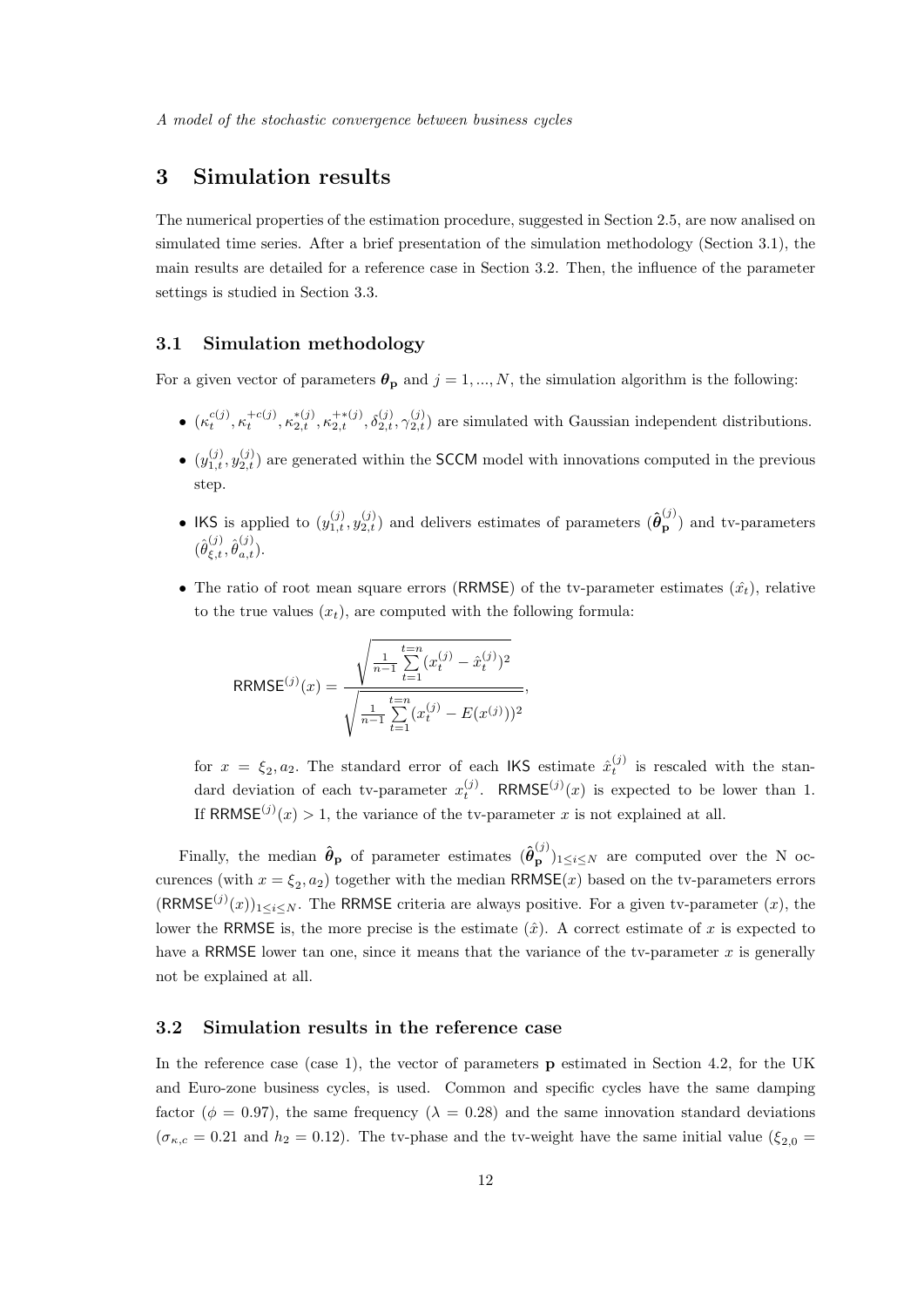# 3 Simulation results

The numerical properties of the estimation procedure, suggested in Section 2.5, are now analised on simulated time series. After a brief presentation of the simulation methodology (Section 3.1), the main results are detailed for a reference case in Section 3.2. Then, the influence of the parameter settings is studied in Section 3.3.

## 3.1 Simulation methodology

For a given vector of parameters  $\theta_p$  and  $j = 1, ..., N$ , the simulation algorithm is the following:

- $\bullet$   $(\kappa_t^{c(j)}, \kappa_t^{+c(j)}, \kappa_{2,t}^{*(j)}, \kappa_{2,t}^{+(j)}, \delta_{2,t}^{(j)}, \gamma_{2,t}^{(j)})$  are simulated with Gaussian independent distributions.
- $\bullet$   $(y_{1,t}^{(j)}, y_{2,t}^{(j)})$  are generated within the SCCM model with innovations computed in the previous step.
- IKS is applied to  $(y_{1,t}^{(j)}, y_{2,t}^{(j)})$  and delivers estimates of parameters  $(\hat{\theta}_{\mathbf{p}}^{(j)})$  and tv-parameters  $(\hat{\theta}_{\xi,t}^{(j)}, \hat{\theta}_{a,t}^{(j)}).$
- The ratio of root mean square errors (RRMSE) of the tv-parameter estimates  $(\hat{x}_t)$ , relative to the true values  $(x_t)$ , are computed with the following formula:

$$
RRMSE^{(j)}(x) = \frac{\sqrt{\frac{1}{n-1} \sum_{t=1}^{t=n} (x_t^{(j)} - \hat{x}_t^{(j)})^2}}{\sqrt{\frac{1}{n-1} \sum_{t=1}^{t=n} (x_t^{(j)} - E(x^{(j)}))^2}},
$$

for  $x = \xi_2, a_2$ . The standard error of each IKS estimate  $\hat{x}_t^{(j)}$  is rescaled with the standard deviation of each tv-parameter  $x_t^{(j)}$ . RRMSE $^{(j)}(x)$  is expected to be lower than 1. If RRMSE $^{(j)}(x) > 1$ , the variance of the tv-parameter x is not explained at all.

Finally, the median  $\hat{\theta}_p$  of parameter estimates  $(\hat{\theta}_p^{(j)})_{1 \leq i \leq N}$  are computed over the N occurences (with  $x = \xi_2, a_2$ ) together with the median  $RRMSE(x)$  based on the tv-parameters errors  $(RRMSE^{(j)}(x))_{1\leq i\leq N}$ . The RRMSE criteria are always positive. For a given tv-parameter  $(x)$ , the lower the RRMSE is, the more precise is the estimate  $(\hat{x})$ . A correct estimate of x is expected to have a RRMSE lower tan one, since it means that the variance of the tv-parameter  $x$  is generally not be explained at all.

# 3.2 Simulation results in the reference case

In the reference case (case 1), the vector of parameters **p** estimated in Section 4.2, for the UK and Euro-zone business cycles, is used. Common and specific cycles have the same damping factor ( $\phi = 0.97$ ), the same frequency ( $\lambda = 0.28$ ) and the same innovation standard deviations  $(\sigma_{\kappa,c} = 0.21$  and  $h_2 = 0.12)$ . The tv-phase and the tv-weight have the same initial value  $(\xi_{2,0} =$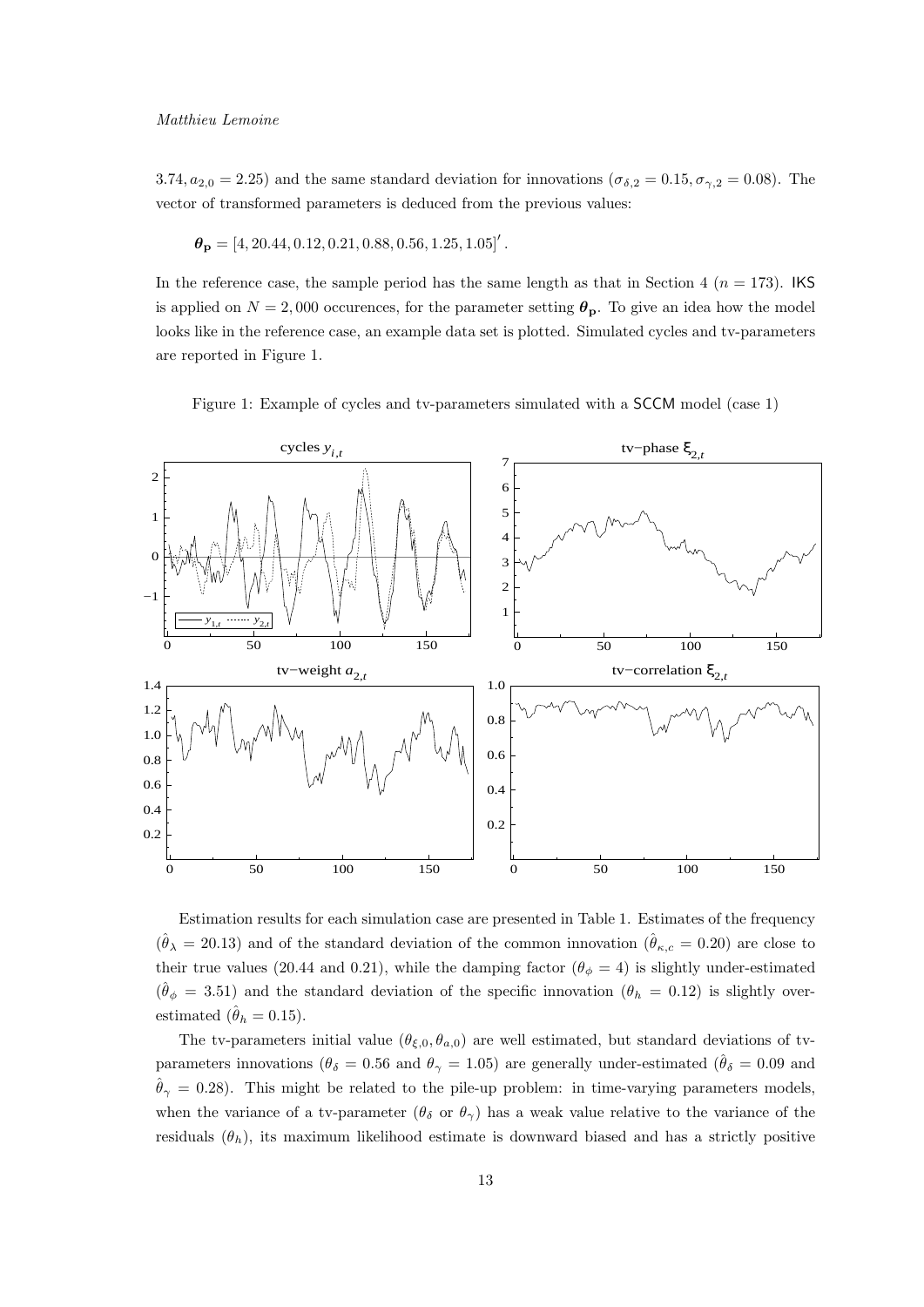3.74,  $a_{2,0} = 2.25$ ) and the same standard deviation for innovations ( $\sigma_{\delta,2} = 0.15$ ,  $\sigma_{\gamma,2} = 0.08$ ). The vector of transformed parameters is deduced from the previous values:

$$
\boldsymbol{\theta}_{\mathbf{p}} = [4, 20.44, 0.12, 0.21, 0.88, 0.56, 1.25, 1.05]'
$$
.

In the reference case, the sample period has the same length as that in Section 4 ( $n = 173$ ). IKS is applied on  $N = 2,000$  occurences, for the parameter setting  $\theta_{\rm p}$ . To give an idea how the model looks like in the reference case, an example data set is plotted. Simulated cycles and tv-parameters are reported in Figure 1.

Figure 1: Example of cycles and tv-parameters simulated with a SCCM model (case 1)



Estimation results for each simulation case are presented in Table 1. Estimates of the frequency  $(\hat{\theta}_{\lambda} = 20.13)$  and of the standard deviation of the common innovation  $(\hat{\theta}_{\kappa,c} = 0.20)$  are close to their true values (20.44 and 0.21), while the damping factor ( $\theta_{\phi} = 4$ ) is slightly under-estimated  $(\hat{\theta}_{\phi} = 3.51)$  and the standard deviation of the specific innovation  $(\theta_h = 0.12)$  is slightly overestimated  $(\hat{\theta}_h = 0.15)$ .

The tv-parameters initial value  $(\theta_{\xi,0}, \theta_{a,0})$  are well estimated, but standard deviations of tvparameters innovations ( $\theta_{\delta} = 0.56$  and  $\theta_{\gamma} = 1.05$ ) are generally under-estimated ( $\hat{\theta}_{\delta} = 0.09$  and  $\hat{\theta}_{\gamma} = 0.28$ ). This might be related to the pile-up problem: in time-varying parameters models, when the variance of a tv-parameter  $(\theta_{\delta} \text{ or } \theta_{\gamma})$  has a weak value relative to the variance of the residuals  $(\theta_h)$ , its maximum likelihood estimate is downward biased and has a strictly positive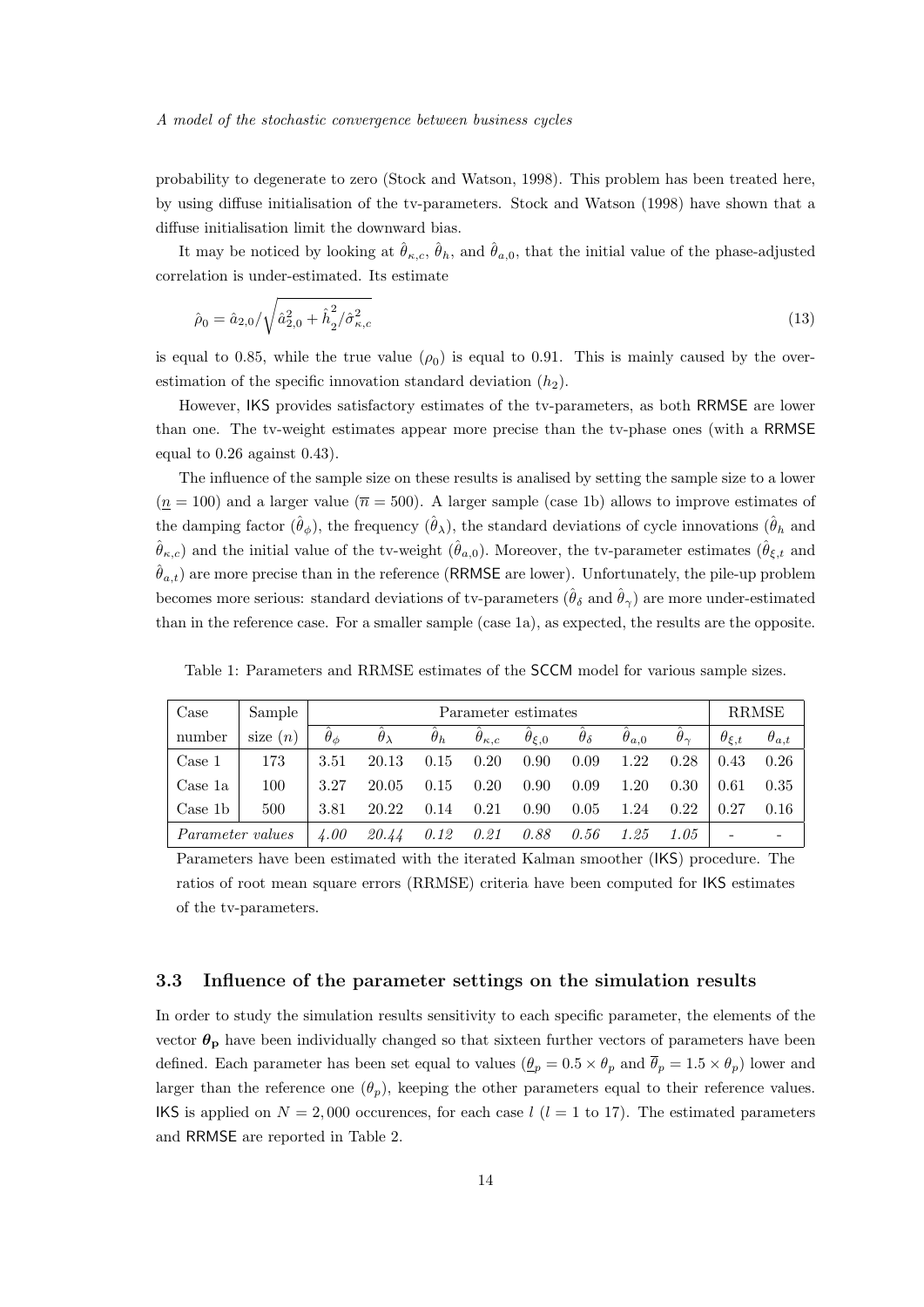probability to degenerate to zero (Stock and Watson, 1998). This problem has been treated here, by using diffuse initialisation of the tv-parameters. Stock and Watson (1998) have shown that a diffuse initialisation limit the downward bias.

It may be noticed by looking at  $\hat{\theta}_{\kappa,c}, \hat{\theta}_h$ , and  $\hat{\theta}_{a,0}$ , that the initial value of the phase-adjusted correlation is under-estimated. Its estimate

$$
\hat{\rho}_0 = \hat{a}_{2,0} / \sqrt{\hat{a}_{2,0}^2 + \hat{h}_2^2 / \hat{\sigma}_{\kappa,c}^2}
$$
\n(13)

is equal to 0.85, while the true value  $(\rho_0)$  is equal to 0.91. This is mainly caused by the overestimation of the specific innovation standard deviation  $(h_2)$ .

However, IKS provides satisfactory estimates of the tv-parameters, as both RRMSE are lower than one. The tv-weight estimates appear more precise than the tv-phase ones (with a RRMSE equal to 0.26 against 0.43).

The influence of the sample size on these results is analised by setting the sample size to a lower  $(\underline{n} = 100)$  and a larger value  $(\overline{n} = 500)$ . A larger sample (case 1b) allows to improve estimates of the damping factor  $(\hat{\theta}_{\phi})$ , the frequency  $(\hat{\theta}_{\lambda})$ , the standard deviations of cycle innovations  $(\hat{\theta}_{h}$  and  $(\hat{\theta}_{\kappa,c})$  and the initial value of the tv-weight  $(\hat{\theta}_{a,0})$ . Moreover, the tv-parameter estimates  $(\hat{\theta}_{\xi,t})$  and  $\hat{\theta}_{a,t}$ ) are more precise than in the reference (RRMSE are lower). Unfortunately, the pile-up problem becomes more serious: standard deviations of tv-parameters  $(\hat{\theta}_{\delta} \text{ and } \hat{\theta}_{\gamma})$  are more under-estimated than in the reference case. For a smaller sample (case 1a), as expected, the results are the opposite.

| Case                    | Sample     |                 | Parameter estimates |            |                     |                          |                   |                |                   |                  |                |  |
|-------------------------|------------|-----------------|---------------------|------------|---------------------|--------------------------|-------------------|----------------|-------------------|------------------|----------------|--|
| number                  | size $(n)$ | $\theta_{\phi}$ | $\theta_{\lambda}$  | $\theta_h$ | $\theta_{\kappa,c}$ | $\theta_{\mathcal{E},0}$ | $\theta_{\delta}$ | $\theta_{a,0}$ | $\theta_{\gamma}$ | $\theta_{\xi,t}$ | $\theta_{a,t}$ |  |
| Case 1                  | 173        | 3.51            | 20.13               | 0.15       | 0.20                | 0.90                     | 0.09              | 1.22           | 0.28              | 0.43             | 0.26           |  |
| Case 1a                 | 100        | 3.27            | 20.05               | 0.15       | 0.20                | 0.90                     | 0.09              | 1.20           | 0.30              | 0.61             | 0.35           |  |
| Case 1b                 | 500        | 3.81            | 20.22               | 0.14       | 0.21                | 0.90                     | 0.05              | 1.24           | 0.22              | 0.27             | 0.16           |  |
| <i>Parameter values</i> |            | 4.00            | 20.44               | 0.12       | 0.21                | 0.88                     | 0.56              | 1.25           | 1.05              |                  |                |  |

Table 1: Parameters and RRMSE estimates of the SCCM model for various sample sizes.

Parameters have been estimated with the iterated Kalman smoother (IKS) procedure. The ratios of root mean square errors (RRMSE) criteria have been computed for IKS estimates of the tv-parameters.

# 3.3 Influence of the parameter settings on the simulation results

In order to study the simulation results sensitivity to each specific parameter, the elements of the vector  $\theta_{\rm p}$  have been individually changed so that sixteen further vectors of parameters have been defined. Each parameter has been set equal to values  $(\underline{\theta}_p = 0.5 \times \theta_p$  and  $\overline{\theta}_p = 1.5 \times \theta_p$ ) lower and larger than the reference one  $(\theta_p)$ , keeping the other parameters equal to their reference values. IKS is applied on  $N = 2,000$  occurences, for each case  $l$  ( $l = 1$  to 17). The estimated parameters and RRMSE are reported in Table 2.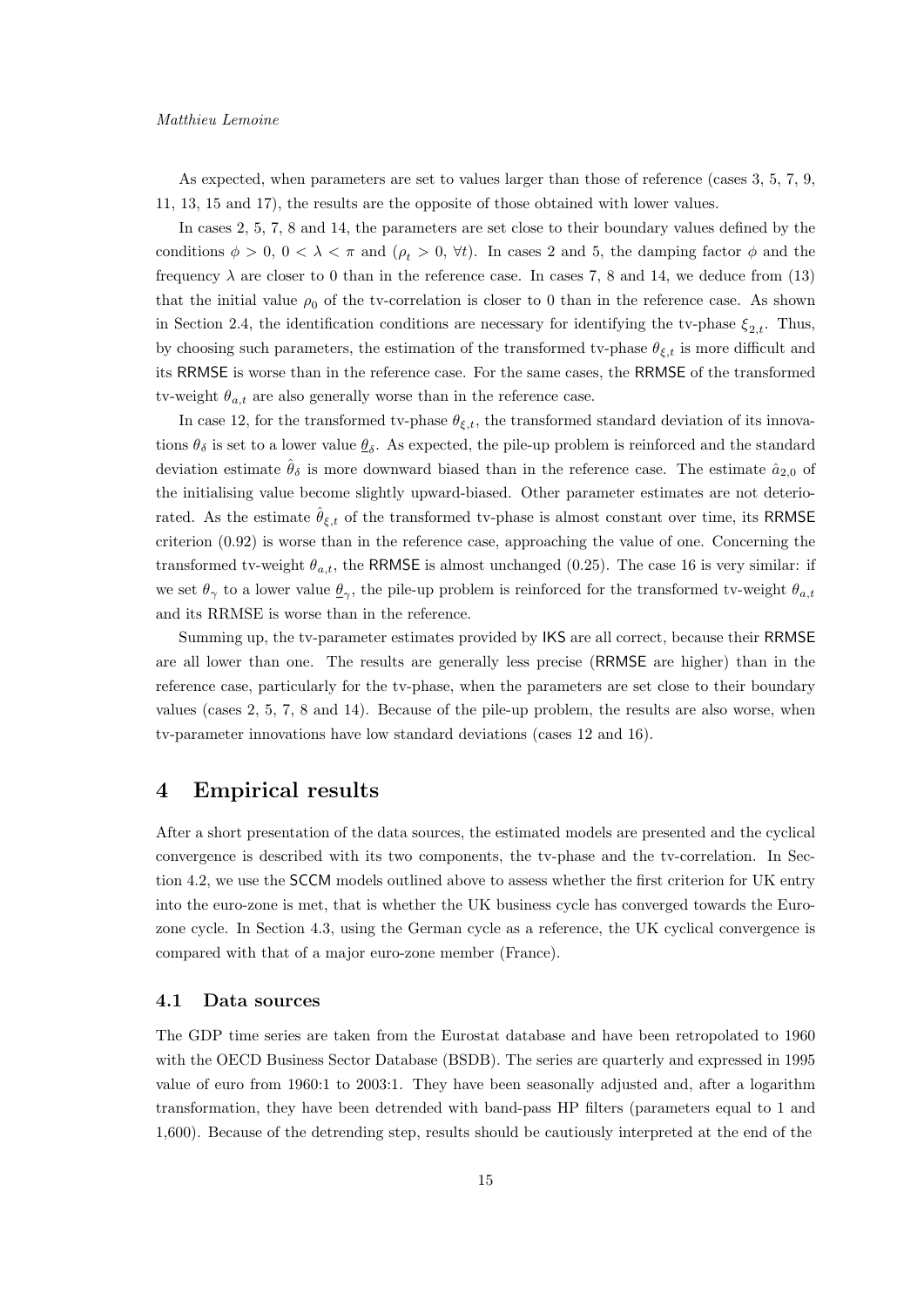#### Matthieu Lemoine

As expected, when parameters are set to values larger than those of reference (cases 3, 5, 7, 9, 11, 13, 15 and 17), the results are the opposite of those obtained with lower values.

In cases 2, 5, 7, 8 and 14, the parameters are set close to their boundary values defined by the conditions  $\phi > 0$ ,  $0 < \lambda < \pi$  and  $(\rho_t > 0, \forall t)$ . In cases 2 and 5, the damping factor  $\phi$  and the frequency  $\lambda$  are closer to 0 than in the reference case. In cases 7, 8 and 14, we deduce from (13) that the initial value  $\rho_0$  of the tv-correlation is closer to 0 than in the reference case. As shown in Section 2.4, the identification conditions are necessary for identifying the tv-phase  $\xi_{2,t}$ . Thus, by choosing such parameters, the estimation of the transformed tv-phase  $\theta_{\xi,t}$  is more difficult and its RRMSE is worse than in the reference case. For the same cases, the RRMSE of the transformed tv-weight  $\theta_{a,t}$  are also generally worse than in the reference case.

In case 12, for the transformed tv-phase  $\theta_{\xi,t}$ , the transformed standard deviation of its innovations  $\theta_{\delta}$  is set to a lower value  $\underline{\theta}_{\delta}$ . As expected, the pile-up problem is reinforced and the standard deviation estimate  $\hat{\theta}_{\delta}$  is more downward biased than in the reference case. The estimate  $\hat{a}_{2,0}$  of the initialising value become slightly upward-biased. Other parameter estimates are not deteriorated. As the estimate  $\theta_{\xi,t}$  of the transformed tv-phase is almost constant over time, its RRMSE criterion (0.92) is worse than in the reference case, approaching the value of one. Concerning the transformed tv-weight  $\theta_{a,t}$ , the RRMSE is almost unchanged (0.25). The case 16 is very similar: if we set  $\theta_{\gamma}$  to a lower value  $\underline{\theta}_{\gamma}$ , the pile-up problem is reinforced for the transformed tv-weight  $\theta_{a,t}$ and its RRMSE is worse than in the reference.

Summing up, the tv-parameter estimates provided by IKS are all correct, because their RRMSE are all lower than one. The results are generally less precise (RRMSE are higher) than in the reference case, particularly for the tv-phase, when the parameters are set close to their boundary values (cases 2, 5, 7, 8 and 14). Because of the pile-up problem, the results are also worse, when tv-parameter innovations have low standard deviations (cases 12 and 16).

# 4 Empirical results

After a short presentation of the data sources, the estimated models are presented and the cyclical convergence is described with its two components, the tv-phase and the tv-correlation. In Section 4.2, we use the SCCM models outlined above to assess whether the first criterion for UK entry into the euro-zone is met, that is whether the UK business cycle has converged towards the Eurozone cycle. In Section 4.3, using the German cycle as a reference, the UK cyclical convergence is compared with that of a major euro-zone member (France).

## 4.1 Data sources

The GDP time series are taken from the Eurostat database and have been retropolated to 1960 with the OECD Business Sector Database (BSDB). The series are quarterly and expressed in 1995 value of euro from 1960:1 to 2003:1. They have been seasonally adjusted and, after a logarithm transformation, they have been detrended with band-pass HP filters (parameters equal to 1 and 1,600). Because of the detrending step, results should be cautiously interpreted at the end of the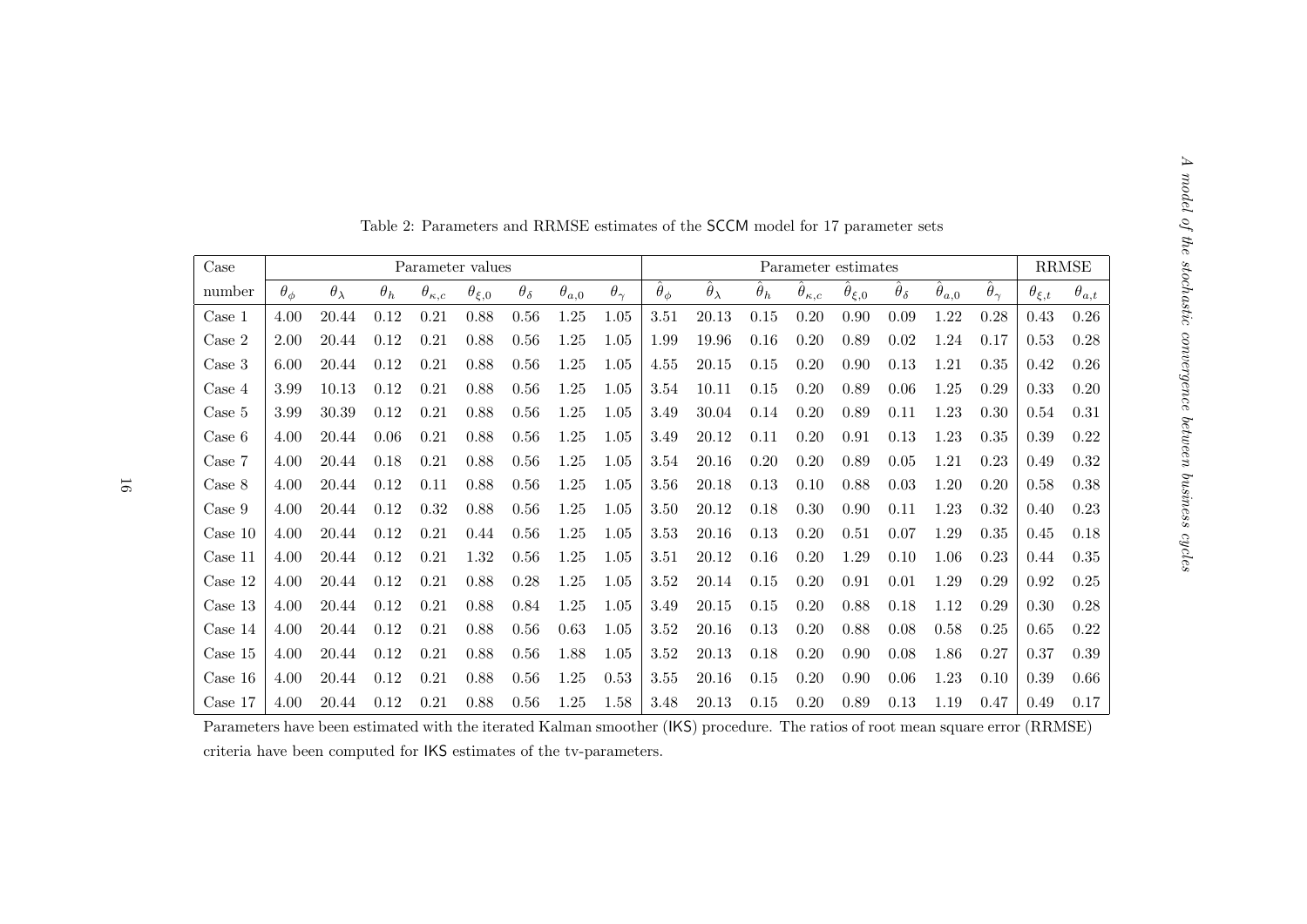|                  |                 |                    |            |                     |                  |                   |                |                   |                     | Table 2: Parameters and RRMSE estimates of the SCCM model for 17 parameter sets |                  |                           |                        |                         |                      |                         |                  |                        |
|------------------|-----------------|--------------------|------------|---------------------|------------------|-------------------|----------------|-------------------|---------------------|---------------------------------------------------------------------------------|------------------|---------------------------|------------------------|-------------------------|----------------------|-------------------------|------------------|------------------------|
| Case             |                 |                    |            |                     | Parameter values |                   |                |                   |                     |                                                                                 |                  |                           | Parameter estimates    |                         |                      |                         |                  | $\operatorname{RRMSE}$ |
| number           | $\theta_{\phi}$ | $\theta_{\lambda}$ | $\theta_h$ | $\theta_{\kappa,c}$ | $\theta_{\xi,0}$ | $\theta_{\delta}$ | $\theta_{a,0}$ | $\theta_{\gamma}$ | $\hat{\theta}_\phi$ | $\hat{\theta}_{\lambda}$                                                        | $\hat{\theta}_h$ | $\hat{\theta}_{\kappa,c}$ | $\hat{\theta}_{\xi,0}$ | $\hat{\theta}_{\delta}$ | $\hat{\theta}_{a,0}$ | $\hat{\theta}_{\gamma}$ | $\theta_{\xi,t}$ | $\theta_{a,t}$         |
| Case 1           | 4.00            | 20.44              | 0.12       | 0.21                | 0.88             | 0.56              | 1.25           | 1.05              | 3.51                | 20.13                                                                           | 0.15             | 0.20                      | 0.90                   | 0.09                    | 1.22                 | 0.28                    | 0.43             | 0.26                   |
| Case 2           | 2.00            | 20.44              | 0.12       | 0.21                | 0.88             | 0.56              | 1.25           | 1.05              | 1.99                | 19.96                                                                           | 0.16             | 0.20                      | 0.89                   | 0.02                    | 1.24                 | 0.17                    | 0.53             | 0.28                   |
| Case 3           | 6.00            | 20.44              | 0.12       | 0.21                | 0.88             | 0.56              | 1.25           | 1.05              | 4.55                | 20.15                                                                           | 0.15             | 0.20                      | 0.90                   | 0.13                    | 1.21                 | 0.35                    | 0.42             | 0.26                   |
| $\text{Case } 4$ | 3.99            | 10.13              | 0.12       | 0.21                | 0.88             | 0.56              | 1.25           | 1.05              | 3.54                | 10.11                                                                           | 0.15             | 0.20                      | 0.89                   | 0.06                    | 1.25                 | 0.29                    | 0.33             | 0.20                   |
| Case 5           | 3.99            | 30.39              | 0.12       | 0.21                | 0.88             | 0.56              | 1.25           | 1.05              | 3.49                | 30.04                                                                           | 0.14             | 0.20                      | 0.89                   | 0.11                    | 1.23                 | 0.30                    | 0.54             | 0.31                   |
| Case 6           | 4.00            | 20.44              | 0.06       | 0.21                | 0.88             | 0.56              | 1.25           | 1.05              | 3.49                | 20.12                                                                           | 0.11             | 0.20                      | 0.91                   | 0.13                    | 1.23                 | 0.35                    | 0.39             | 0.22                   |
| Case 7           | 4.00            | 20.44              | 0.18       | 0.21                | 0.88             | 0.56              | 1.25           | 1.05              | 3.54                | 20.16                                                                           | 0.20             | 0.20                      | 0.89                   | 0.05                    | 1.21                 | 0.23                    | 0.49             | 0.32                   |
| Case 8           | 4.00            | 20.44              | 0.12       | 0.11                | 0.88             | 0.56              | 1.25           | 1.05              | 3.56                | 20.18                                                                           | 0.13             | 0.10                      | 0.88                   | 0.03                    | 1.20                 | 0.20                    | 0.58             | 0.38                   |
| Case 9           | 4.00            | 20.44              | 0.12       | 0.32                | 0.88             | 0.56              | 1.25           | 1.05              | 3.50                | 20.12                                                                           | 0.18             | 0.30                      | 0.90                   | 0.11                    | 1.23                 | 0.32                    | 0.40             | 0.23                   |
| Case 10          | 4.00            | 20.44              | 0.12       | 0.21                | 0.44             | 0.56              | 1.25           | 1.05              | 3.53                | 20.16                                                                           | 0.13             | 0.20                      | 0.51                   | 0.07                    | 1.29                 | 0.35                    | 0.45             | 0.18                   |
| Case 11          | 4.00            | 20.44              | 0.12       | 0.21                | 1.32             | 0.56              | 1.25           | 1.05              | $3.51\,$            | 20.12                                                                           | 0.16             | 0.20                      | 1.29                   | 0.10                    | 1.06                 | 0.23                    | 0.44             | 0.35                   |
| Case $12$        | 4.00            | 20.44              | 0.12       | 0.21                | 0.88             | 0.28              | 1.25           | 1.05              | 3.52                | 20.14                                                                           | 0.15             | 0.20                      | 0.91                   | 0.01                    | 1.29                 | 0.29                    | 0.92             | $0.25\,$               |
| Case 13          | 4.00            | 20.44              | 0.12       | 0.21                | 0.88             | 0.84              | 1.25           | 1.05              | 3.49                | 20.15                                                                           | 0.15             | 0.20                      | 0.88                   | 0.18                    | 1.12                 | 0.29                    | 0.30             | 0.28                   |
| Case $14$        | 4.00            | 20.44              | 0.12       | 0.21                | 0.88             | 0.56              | 0.63           | 1.05              | 3.52                | 20.16                                                                           | 0.13             | 0.20                      | 0.88                   | 0.08                    | 0.58                 | 0.25                    | 0.65             | 0.22                   |
| Case 15          | 4.00            | 20.44              | 0.12       | 0.21                | 0.88             | 0.56              | 1.88           | 1.05              | 3.52                | 20.13                                                                           | 0.18             | 0.20                      | 0.90                   | 0.08                    | 1.86                 | 0.27                    | 0.37             | 0.39                   |
| Case $16$        | 4.00            | 20.44              | 0.12       | 0.21                | 0.88             | 0.56              | 1.25           | 0.53              | 3.55                | 20.16                                                                           | 0.15             | 0.20                      | 0.90                   | 0.06                    | 1.23                 | 0.10                    | 0.39             | 0.66                   |
| Case 17          | 4.00            | 20.44              | 0.12       | 0.21                | 0.88             | 0.56              | 1.25           | 1.58              | 3.48                | 20.13                                                                           | 0.15             | 0.20                      | 0.89                   | 0.13                    | 1.19                 | 0.47                    | 0.49             | 0.17                   |

Parameters have been estimated with the iterated Kalman smoother (IKS) procedure. The ratios of root mean square error (RRMSE) criteria have been computed for IKS estimates of the tv-parameters.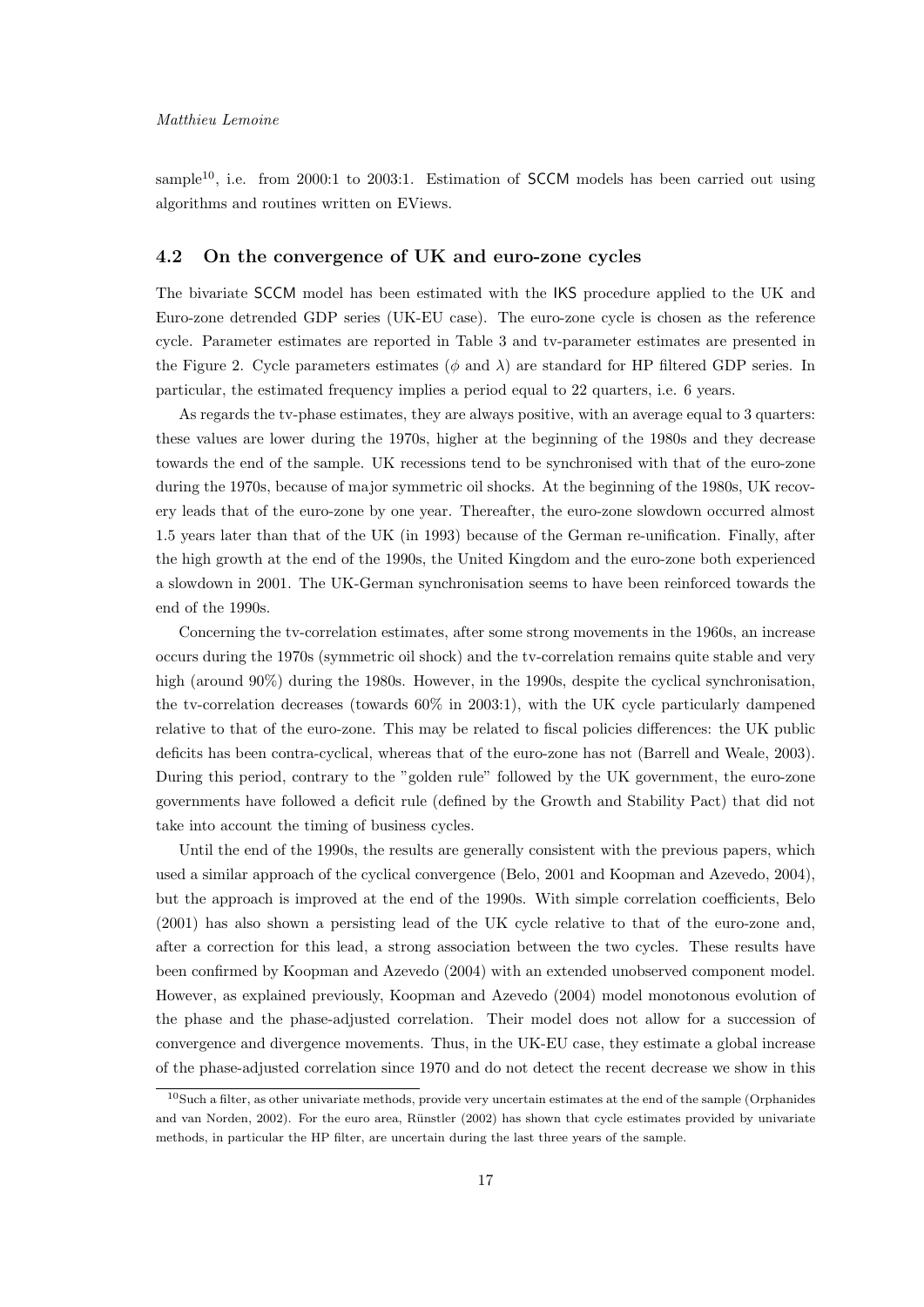sample<sup>10</sup>, i.e. from 2000:1 to 2003:1. Estimation of **SCCM** models has been carried out using algorithms and routines written on EViews.

# 4.2 On the convergence of UK and euro-zone cycles

The bivariate SCCM model has been estimated with the IKS procedure applied to the UK and Euro-zone detrended GDP series (UK-EU case). The euro-zone cycle is chosen as the reference cycle. Parameter estimates are reported in Table 3 and tv-parameter estimates are presented in the Figure 2. Cycle parameters estimates ( $\phi$  and  $\lambda$ ) are standard for HP filtered GDP series. In particular, the estimated frequency implies a period equal to 22 quarters, i.e. 6 years.

As regards the tv-phase estimates, they are always positive, with an average equal to 3 quarters: these values are lower during the 1970s, higher at the beginning of the 1980s and they decrease towards the end of the sample. UK recessions tend to be synchronised with that of the euro-zone during the 1970s, because of major symmetric oil shocks. At the beginning of the 1980s, UK recovery leads that of the euro-zone by one year. Thereafter, the euro-zone slowdown occurred almost 1.5 years later than that of the UK (in 1993) because of the German re-unification. Finally, after the high growth at the end of the 1990s, the United Kingdom and the euro-zone both experienced a slowdown in 2001. The UK-German synchronisation seems to have been reinforced towards the end of the 1990s.

Concerning the tv-correlation estimates, after some strong movements in the 1960s, an increase occurs during the 1970s (symmetric oil shock) and the tv-correlation remains quite stable and very high (around 90%) during the 1980s. However, in the 1990s, despite the cyclical synchronisation, the tv-correlation decreases (towards 60% in 2003:1), with the UK cycle particularly dampened relative to that of the euro-zone. This may be related to fiscal policies differences: the UK public deficits has been contra-cyclical, whereas that of the euro-zone has not (Barrell and Weale, 2003). During this period, contrary to the "golden rule" followed by the UK government, the euro-zone governments have followed a deficit rule (defined by the Growth and Stability Pact) that did not take into account the timing of business cycles.

Until the end of the 1990s, the results are generally consistent with the previous papers, which used a similar approach of the cyclical convergence (Belo, 2001 and Koopman and Azevedo, 2004), but the approach is improved at the end of the 1990s. With simple correlation coefficients, Belo (2001) has also shown a persisting lead of the UK cycle relative to that of the euro-zone and, after a correction for this lead, a strong association between the two cycles. These results have been confirmed by Koopman and Azevedo (2004) with an extended unobserved component model. However, as explained previously, Koopman and Azevedo (2004) model monotonous evolution of the phase and the phase-adjusted correlation. Their model does not allow for a succession of convergence and divergence movements. Thus, in the UK-EU case, they estimate a global increase of the phase-adjusted correlation since 1970 and do not detect the recent decrease we show in this

 $10S$ uch a filter, as other univariate methods, provide very uncertain estimates at the end of the sample (Orphanides and van Norden, 2002). For the euro area, Rünstler (2002) has shown that cycle estimates provided by univariate methods, in particular the HP filter, are uncertain during the last three years of the sample.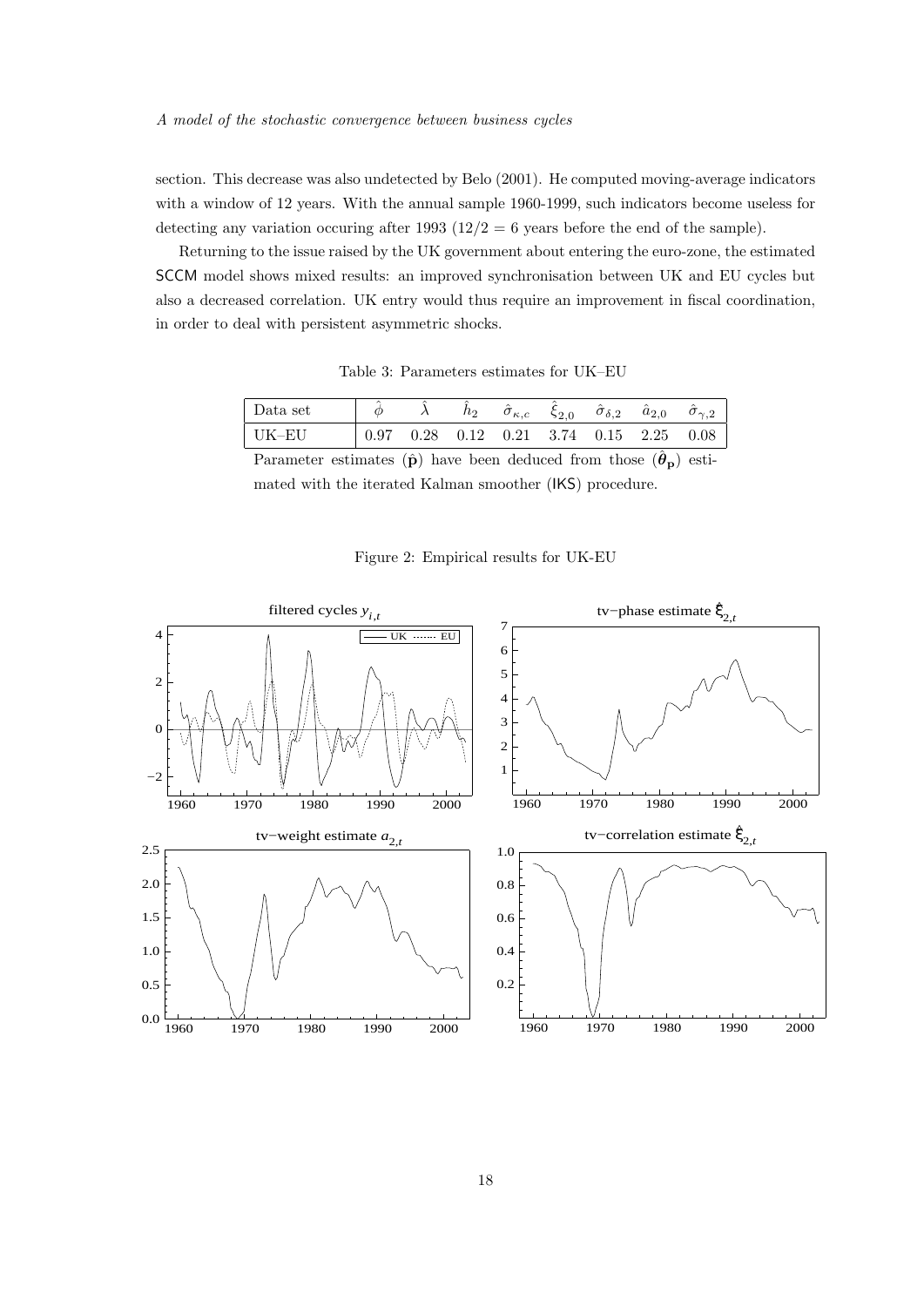section. This decrease was also undetected by Belo (2001). He computed moving-average indicators with a window of 12 years. With the annual sample 1960-1999, such indicators become useless for detecting any variation occuring after 1993 ( $12/2 = 6$  years before the end of the sample).

Returning to the issue raised by the UK government about entering the euro-zone, the estimated SCCM model shows mixed results: an improved synchronisation between UK and EU cycles but also a decreased correlation. UK entry would thus require an improvement in fiscal coordination, in order to deal with persistent asymmetric shocks.

Table 3: Parameters estimates for UK–EU

| ∣ Data set |  | h2 | $\sigma_{\kappa,c}$ | $\zeta_{2,0}$ | $\hat{\sigma}_{\delta,2}$                               | $a_{2,0}$ | $\sigma_{\gamma,2}$ |
|------------|--|----|---------------------|---------------|---------------------------------------------------------|-----------|---------------------|
| ∣ UK–EU    |  |    |                     |               | $0.97$ $0.28$ $0.12$ $0.21$ $3.74$ $0.15$ $2.25$ $0.08$ |           |                     |
|            |  |    |                     |               |                                                         |           |                     |

Parameter estimates  $(\hat{\mathbf{p}})$  have been deduced from those  $(\hat{\boldsymbol{\theta}}_{\mathbf{p}})$  estimated with the iterated Kalman smoother (IKS) procedure.

Figure 2: Empirical results for UK-EU

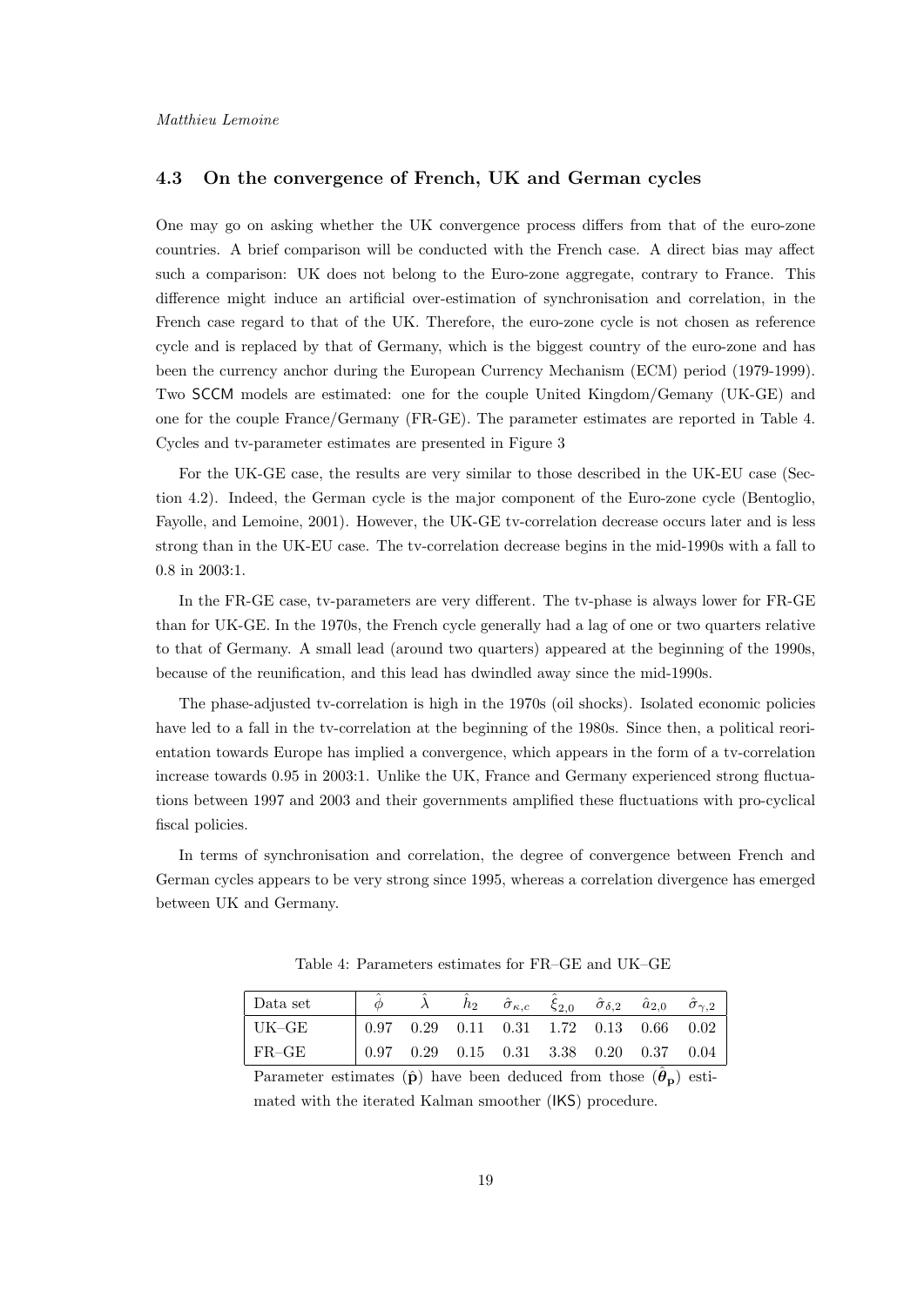# 4.3 On the convergence of French, UK and German cycles

One may go on asking whether the UK convergence process differs from that of the euro-zone countries. A brief comparison will be conducted with the French case. A direct bias may affect such a comparison: UK does not belong to the Euro-zone aggregate, contrary to France. This difference might induce an artificial over-estimation of synchronisation and correlation, in the French case regard to that of the UK. Therefore, the euro-zone cycle is not chosen as reference cycle and is replaced by that of Germany, which is the biggest country of the euro-zone and has been the currency anchor during the European Currency Mechanism (ECM) period (1979-1999). Two SCCM models are estimated: one for the couple United Kingdom/Gemany (UK-GE) and one for the couple France/Germany (FR-GE). The parameter estimates are reported in Table 4. Cycles and tv-parameter estimates are presented in Figure 3

For the UK-GE case, the results are very similar to those described in the UK-EU case (Section 4.2). Indeed, the German cycle is the major component of the Euro-zone cycle (Bentoglio, Fayolle, and Lemoine, 2001). However, the UK-GE tv-correlation decrease occurs later and is less strong than in the UK-EU case. The tv-correlation decrease begins in the mid-1990s with a fall to 0.8 in 2003:1.

In the FR-GE case, tv-parameters are very different. The tv-phase is always lower for FR-GE than for UK-GE. In the 1970s, the French cycle generally had a lag of one or two quarters relative to that of Germany. A small lead (around two quarters) appeared at the beginning of the 1990s, because of the reunification, and this lead has dwindled away since the mid-1990s.

The phase-adjusted tv-correlation is high in the 1970s (oil shocks). Isolated economic policies have led to a fall in the tv-correlation at the beginning of the 1980s. Since then, a political reorientation towards Europe has implied a convergence, which appears in the form of a tv-correlation increase towards 0.95 in 2003:1. Unlike the UK, France and Germany experienced strong fluctuations between 1997 and 2003 and their governments amplified these fluctuations with pro-cyclical fiscal policies.

In terms of synchronisation and correlation, the degree of convergence between French and German cycles appears to be very strong since 1995, whereas a correlation divergence has emerged between UK and Germany.

Data set  $\hat{\phi}$   $\hat{\lambda}$   $\hat{h}_2$  $\hat{\sigma}_{\kappa,c}$  $\hat{\xi}_{2,0}$   $\hat{\sigma}_{\delta,2}$   $\hat{a}_{2,0}$   $\hat{\sigma}_{\gamma,2}$ UK–GE 0.97 0.29 0.11 0.31 1.72 0.13 0.66 0.02 FR–GE 0.97 0.29 0.15 0.31 3.38 0.20 0.37 0.04

Table 4: Parameters estimates for FR–GE and UK–GE

Parameter estimates  $(\hat{\mathbf{p}})$  have been deduced from those  $(\hat{\boldsymbol{\theta}}_{\mathbf{p}})$  estimated with the iterated Kalman smoother (IKS) procedure.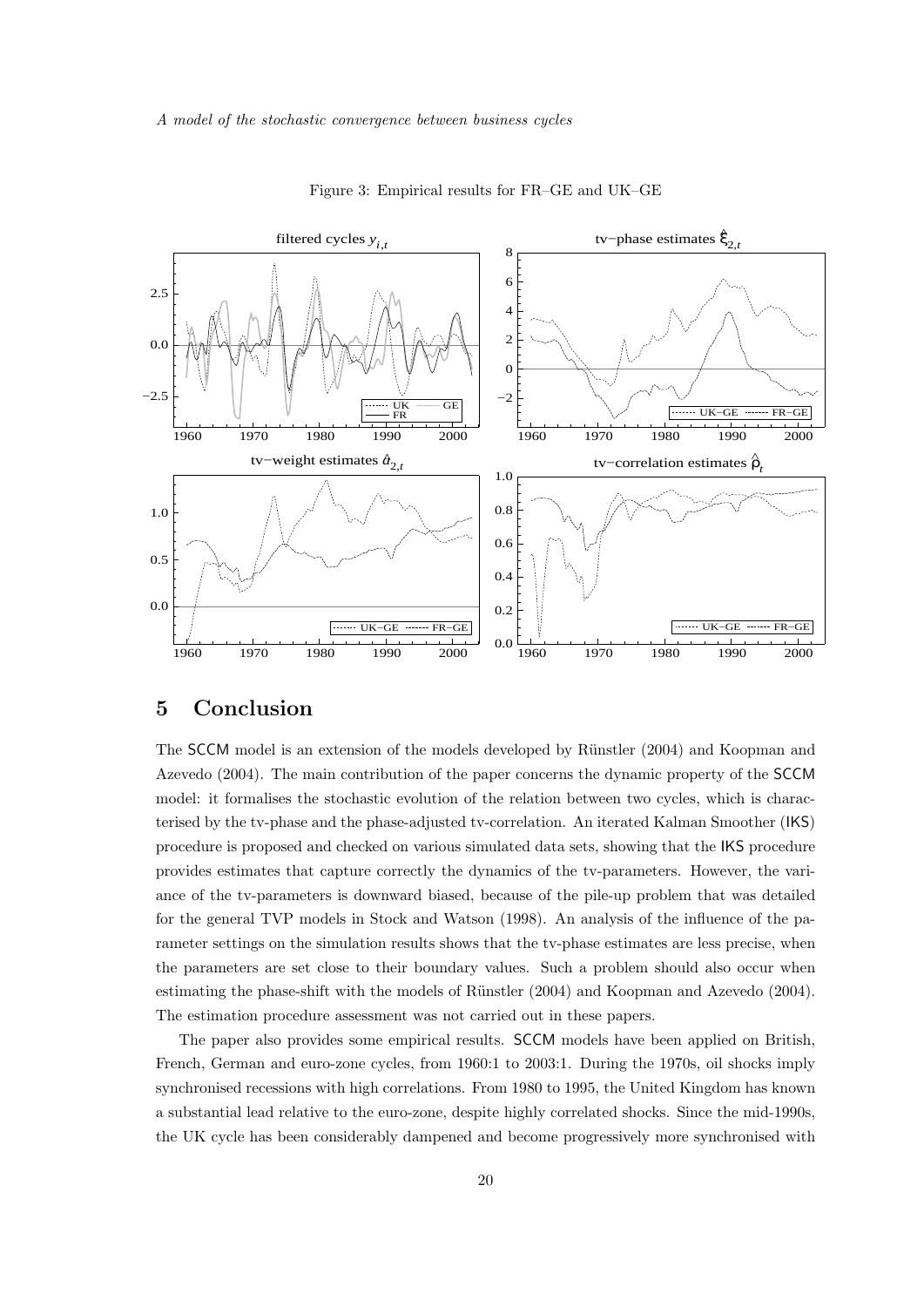

Figure 3: Empirical results for FR–GE and UK–GE

# 5 Conclusion

The SCCM model is an extension of the models developed by Rünstler (2004) and Koopman and Azevedo (2004). The main contribution of the paper concerns the dynamic property of the SCCM model: it formalises the stochastic evolution of the relation between two cycles, which is characterised by the tv-phase and the phase-adjusted tv-correlation. An iterated Kalman Smoother (IKS) procedure is proposed and checked on various simulated data sets, showing that the IKS procedure provides estimates that capture correctly the dynamics of the tv-parameters. However, the variance of the tv-parameters is downward biased, because of the pile-up problem that was detailed for the general TVP models in Stock and Watson (1998). An analysis of the influence of the parameter settings on the simulation results shows that the tv-phase estimates are less precise, when the parameters are set close to their boundary values. Such a problem should also occur when estimating the phase-shift with the models of Rünstler (2004) and Koopman and Azevedo (2004). The estimation procedure assessment was not carried out in these papers.

The paper also provides some empirical results. SCCM models have been applied on British, French, German and euro-zone cycles, from 1960:1 to 2003:1. During the 1970s, oil shocks imply synchronised recessions with high correlations. From 1980 to 1995, the United Kingdom has known a substantial lead relative to the euro-zone, despite highly correlated shocks. Since the mid-1990s, the UK cycle has been considerably dampened and become progressively more synchronised with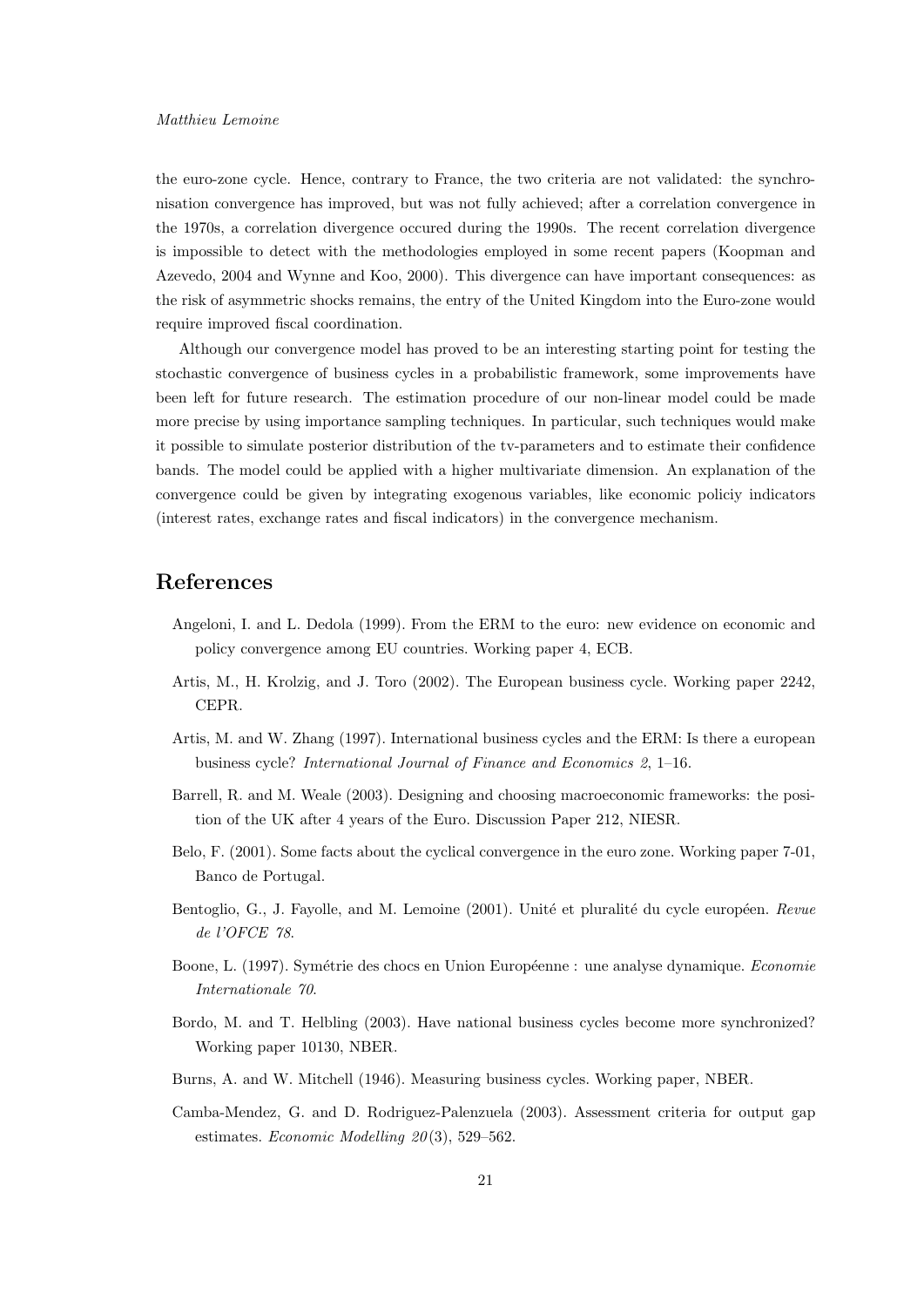the euro-zone cycle. Hence, contrary to France, the two criteria are not validated: the synchronisation convergence has improved, but was not fully achieved; after a correlation convergence in the 1970s, a correlation divergence occured during the 1990s. The recent correlation divergence is impossible to detect with the methodologies employed in some recent papers (Koopman and Azevedo, 2004 and Wynne and Koo, 2000). This divergence can have important consequences: as the risk of asymmetric shocks remains, the entry of the United Kingdom into the Euro-zone would require improved fiscal coordination.

Although our convergence model has proved to be an interesting starting point for testing the stochastic convergence of business cycles in a probabilistic framework, some improvements have been left for future research. The estimation procedure of our non-linear model could be made more precise by using importance sampling techniques. In particular, such techniques would make it possible to simulate posterior distribution of the tv-parameters and to estimate their confidence bands. The model could be applied with a higher multivariate dimension. An explanation of the convergence could be given by integrating exogenous variables, like economic policiy indicators (interest rates, exchange rates and fiscal indicators) in the convergence mechanism.

# References

- Angeloni, I. and L. Dedola (1999). From the ERM to the euro: new evidence on economic and policy convergence among EU countries. Working paper 4, ECB.
- Artis, M., H. Krolzig, and J. Toro (2002). The European business cycle. Working paper 2242, CEPR.
- Artis, M. and W. Zhang (1997). International business cycles and the ERM: Is there a european business cycle? International Journal of Finance and Economics 2, 1–16.
- Barrell, R. and M. Weale (2003). Designing and choosing macroeconomic frameworks: the position of the UK after 4 years of the Euro. Discussion Paper 212, NIESR.
- Belo, F. (2001). Some facts about the cyclical convergence in the euro zone. Working paper 7-01, Banco de Portugal.
- Bentoglio, G., J. Fayolle, and M. Lemoine (2001). Unité et pluralité du cycle européen. Revue de l'OFCE 78.
- Boone, L. (1997). Symétrie des chocs en Union Européenne : une analyse dynamique. Economie Internationale 70.
- Bordo, M. and T. Helbling (2003). Have national business cycles become more synchronized? Working paper 10130, NBER.
- Burns, A. and W. Mitchell (1946). Measuring business cycles. Working paper, NBER.
- Camba-Mendez, G. and D. Rodriguez-Palenzuela (2003). Assessment criteria for output gap estimates. Economic Modelling  $20(3)$ , 529–562.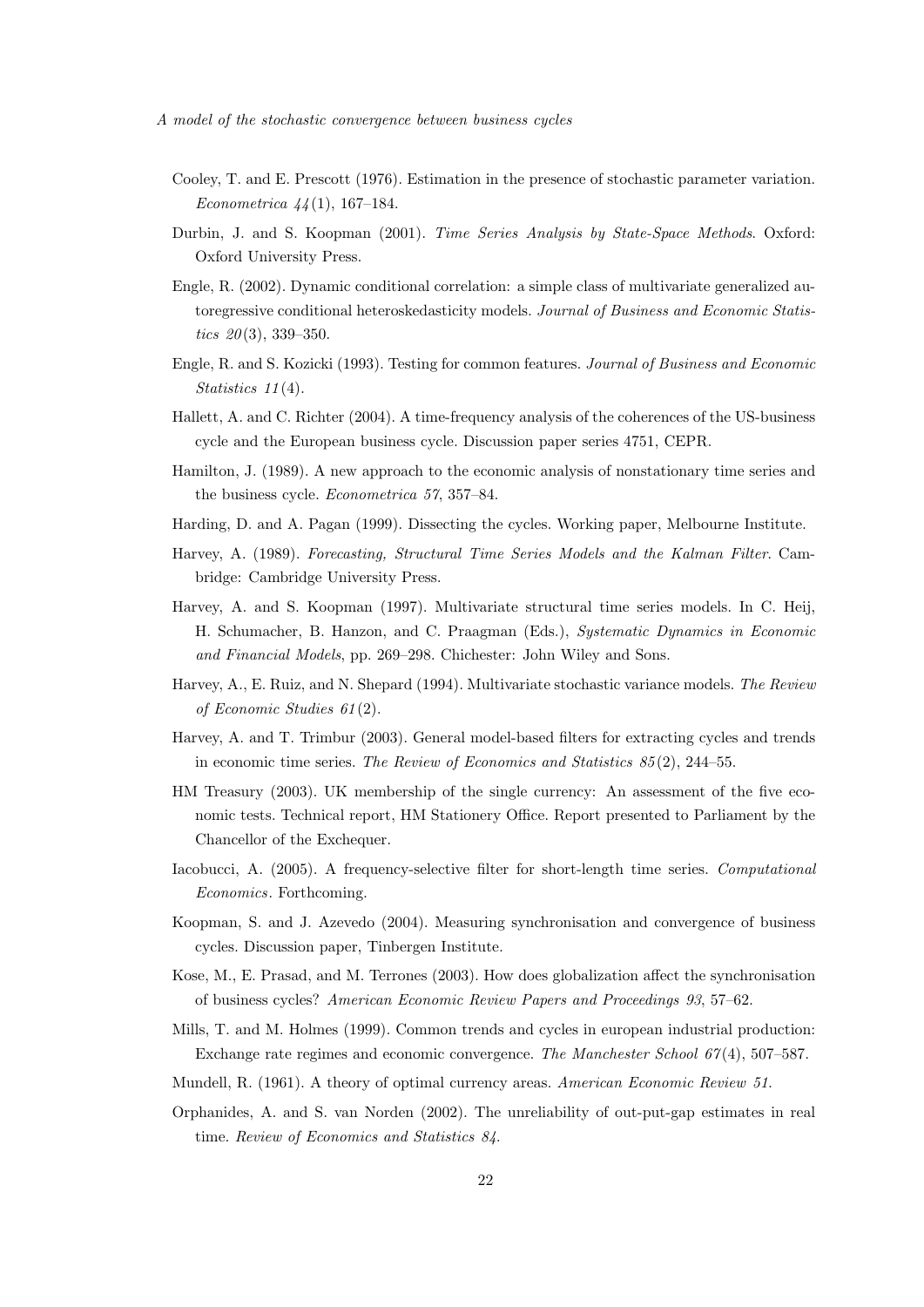- Cooley, T. and E. Prescott (1976). Estimation in the presence of stochastic parameter variation. Econometrica  $44(1)$ , 167–184.
- Durbin, J. and S. Koopman (2001). Time Series Analysis by State-Space Methods. Oxford: Oxford University Press.
- Engle, R. (2002). Dynamic conditional correlation: a simple class of multivariate generalized autoregressive conditional heteroskedasticity models. Journal of Business and Economic Statistics  $20(3)$ , 339-350.
- Engle, R. and S. Kozicki (1993). Testing for common features. Journal of Business and Economic Statistics  $11(4)$ .
- Hallett, A. and C. Richter (2004). A time-frequency analysis of the coherences of the US-business cycle and the European business cycle. Discussion paper series 4751, CEPR.
- Hamilton, J. (1989). A new approach to the economic analysis of nonstationary time series and the business cycle. Econometrica 57, 357–84.
- Harding, D. and A. Pagan (1999). Dissecting the cycles. Working paper, Melbourne Institute.
- Harvey, A. (1989). Forecasting, Structural Time Series Models and the Kalman Filter. Cambridge: Cambridge University Press.
- Harvey, A. and S. Koopman (1997). Multivariate structural time series models. In C. Heij, H. Schumacher, B. Hanzon, and C. Praagman (Eds.), Systematic Dynamics in Economic and Financial Models, pp. 269–298. Chichester: John Wiley and Sons.
- Harvey, A., E. Ruiz, and N. Shepard (1994). Multivariate stochastic variance models. The Review of Economic Studies 61 (2).
- Harvey, A. and T. Trimbur (2003). General model-based filters for extracting cycles and trends in economic time series. The Review of Economics and Statistics 85 (2), 244–55.
- HM Treasury (2003). UK membership of the single currency: An assessment of the five economic tests. Technical report, HM Stationery Office. Report presented to Parliament by the Chancellor of the Exchequer.
- Iacobucci, A. (2005). A frequency-selective filter for short-length time series. Computational Economics. Forthcoming.
- Koopman, S. and J. Azevedo (2004). Measuring synchronisation and convergence of business cycles. Discussion paper, Tinbergen Institute.
- Kose, M., E. Prasad, and M. Terrones (2003). How does globalization affect the synchronisation of business cycles? American Economic Review Papers and Proceedings 93, 57–62.
- Mills, T. and M. Holmes (1999). Common trends and cycles in european industrial production: Exchange rate regimes and economic convergence. The Manchester School  $67(4)$ , 507–587.
- Mundell, R. (1961). A theory of optimal currency areas. American Economic Review 51.
- Orphanides, A. and S. van Norden (2002). The unreliability of out-put-gap estimates in real time. Review of Economics and Statistics 84.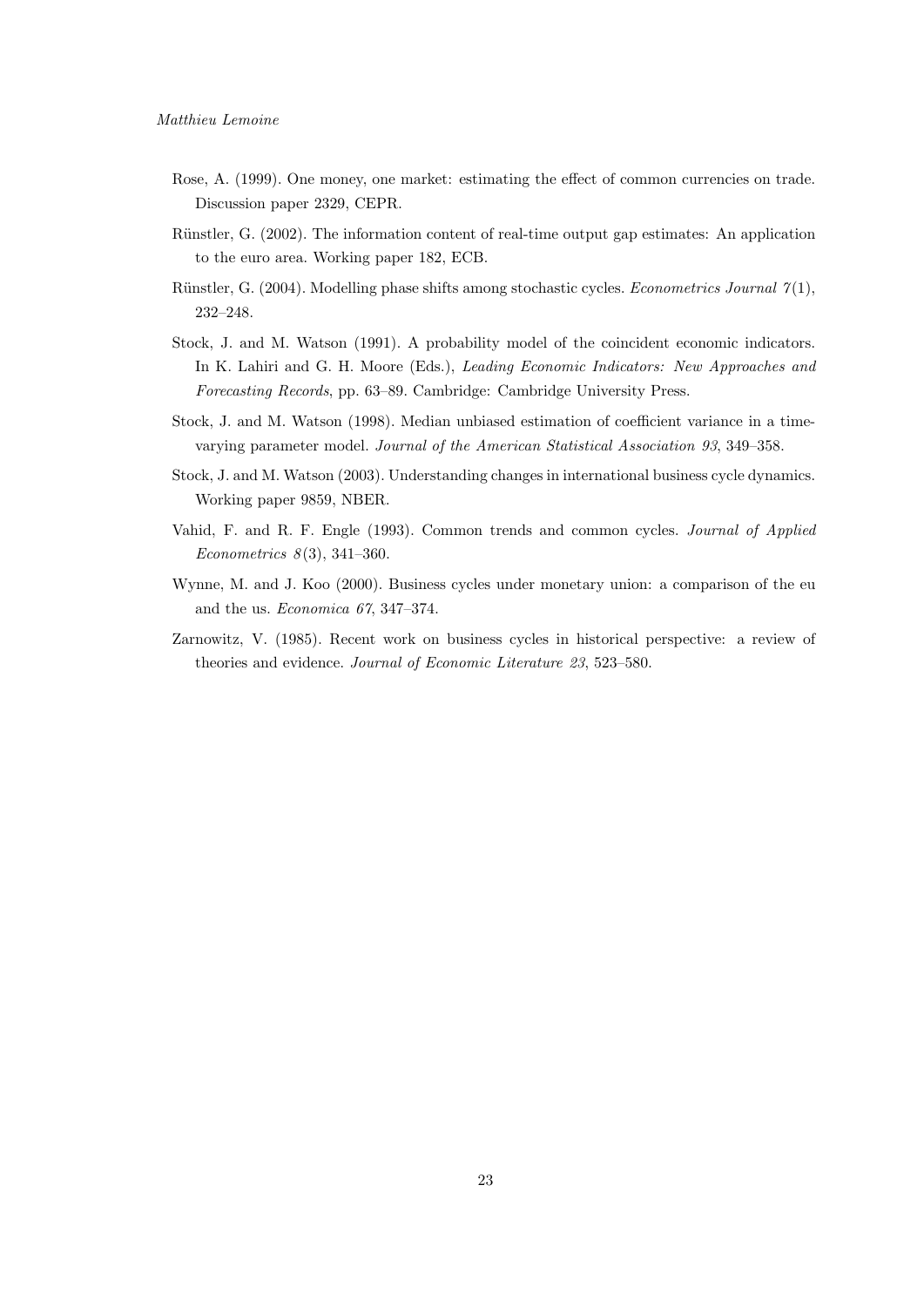- Rose, A. (1999). One money, one market: estimating the effect of common currencies on trade. Discussion paper 2329, CEPR.
- Rünstler, G. (2002). The information content of real-time output gap estimates: An application to the euro area. Working paper 182, ECB.
- Rünstler, G. (2004). Modelling phase shifts among stochastic cycles. *Econometrics Journal*  $\gamma(1)$ , 232–248.
- Stock, J. and M. Watson (1991). A probability model of the coincident economic indicators. In K. Lahiri and G. H. Moore (Eds.), Leading Economic Indicators: New Approaches and Forecasting Records, pp. 63–89. Cambridge: Cambridge University Press.
- Stock, J. and M. Watson (1998). Median unbiased estimation of coefficient variance in a timevarying parameter model. Journal of the American Statistical Association 93, 349–358.
- Stock, J. and M. Watson (2003). Understanding changes in international business cycle dynamics. Working paper 9859, NBER.
- Vahid, F. and R. F. Engle (1993). Common trends and common cycles. Journal of Applied Econometrics  $8(3)$ , 341-360.
- Wynne, M. and J. Koo (2000). Business cycles under monetary union: a comparison of the eu and the us. Economica 67, 347–374.
- Zarnowitz, V. (1985). Recent work on business cycles in historical perspective: a review of theories and evidence. Journal of Economic Literature 23, 523–580.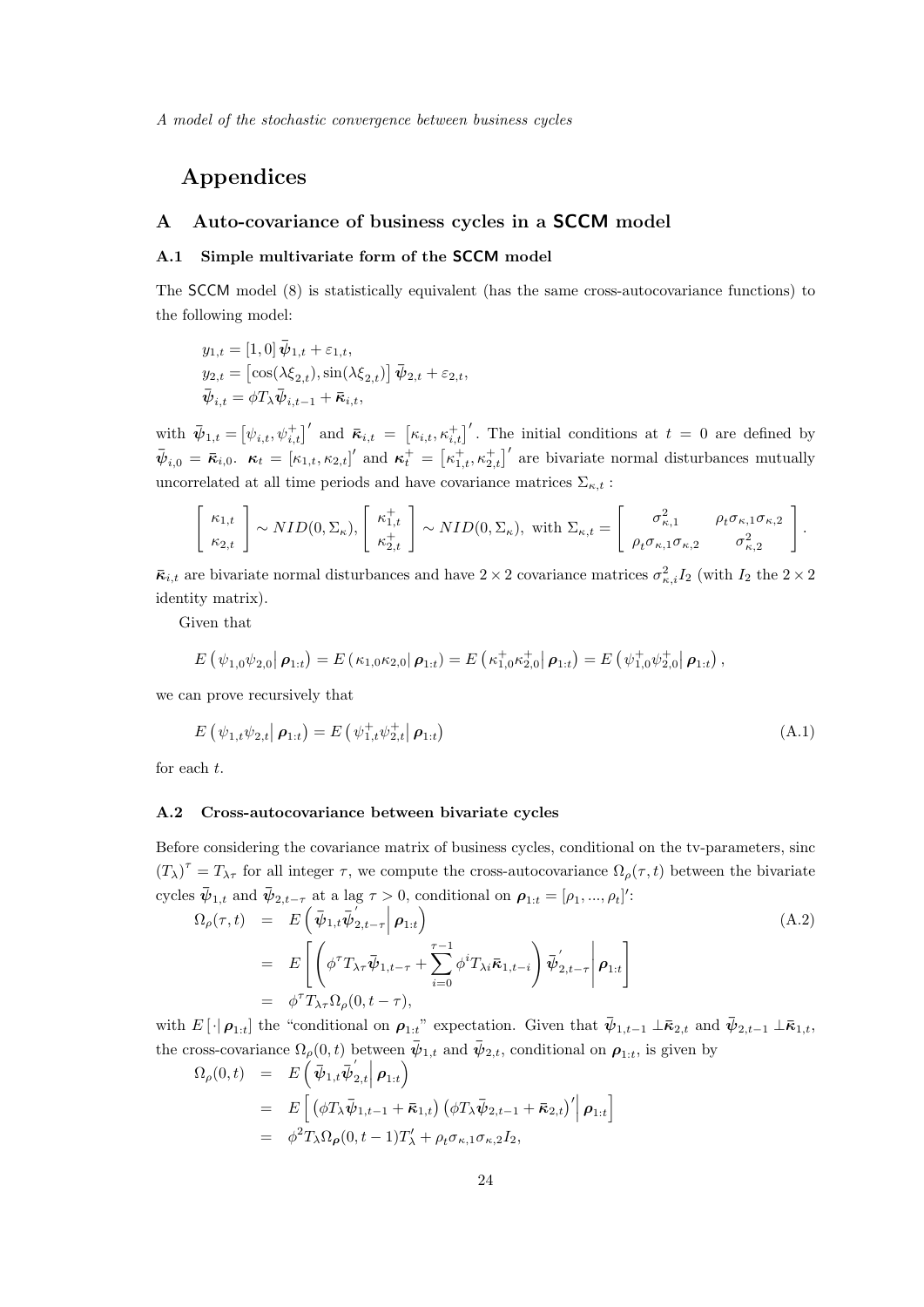# Appendices

# A Auto-covariance of business cycles in a SCCM model

## A.1 Simple multivariate form of the SCCM model

The SCCM model (8) is statistically equivalent (has the same cross-autocovariance functions) to the following model:

$$
y_{1,t} = [1,0] \overline{\psi}_{1,t} + \varepsilon_{1,t},
$$
  
\n
$$
y_{2,t} = [\cos(\lambda \xi_{2,t}), \sin(\lambda \xi_{2,t})] \overline{\psi}_{2,t} + \varepsilon_{2,t},
$$
  
\n
$$
\overline{\psi}_{i,t} = \phi T_{\lambda} \overline{\psi}_{i,t-1} + \overline{\kappa}_{i,t},
$$

with  $\bar{\psi}_{1,t} = [\psi_{i,t}, \psi_{i,t}^+]'$  and  $\bar{\kappa}_{i,t} = [\kappa_{i,t}, \kappa_{i,t}^+]'$ . The initial conditions at  $t = 0$  are defined by  $\bar{\psi}_{i,0} = \bar{\kappa}_{i,0}$ .  $\kappa_t = [\kappa_{1,t}, \kappa_{2,t}]'$  and  $\kappa_t^+ = [\kappa_{1,t}^+, \kappa_{2,t}^+]'$  are bivariate normal disturbances mutually uncorrelated at all time periods and have covariance matrices  $\Sigma_{\kappa,t}$ :

$$
\begin{bmatrix} \kappa_{1,t} \\ \kappa_{2,t} \end{bmatrix} \sim NID(0,\Sigma_{\kappa}), \begin{bmatrix} \kappa_{1,t}^+ \\ \kappa_{2,t}^+ \end{bmatrix} \sim NID(0,\Sigma_{\kappa}), \text{ with } \Sigma_{\kappa,t} = \begin{bmatrix} \sigma_{\kappa,1}^2 & \rho_t \sigma_{\kappa,1} \sigma_{\kappa,2} \\ \rho_t \sigma_{\kappa,1} \sigma_{\kappa,2} & \sigma_{\kappa,2}^2 \end{bmatrix}.
$$

 $\bar{\kappa}_{i,t}$  are bivariate normal disturbances and have  $2 \times 2$  covariance matrices  $\sigma_{\kappa,i}^2 I_2$  (with  $I_2$  the  $2 \times 2$ identity matrix).

Given that

$$
E(\psi_{1,0}\psi_{2,0}|\,\boldsymbol{\rho}_{1:t})=E(\kappa_{1,0}\kappa_{2,0}|\,\boldsymbol{\rho}_{1:t})=E(\kappa_{1,0}^+\kappa_{2,0}^+|\,\boldsymbol{\rho}_{1:t})=E(\psi_{1,0}^+\psi_{2,0}^+|\,\boldsymbol{\rho}_{1:t}),
$$

we can prove recursively that

$$
E(\psi_{1,t}\psi_{2,t}|\,\boldsymbol{\rho}_{1:t}) = E(\psi_{1,t}^+\psi_{2,t}^+|\,\boldsymbol{\rho}_{1:t})
$$
\n(A.1)

for each t.

## A.2 Cross-autocovariance between bivariate cycles

Before considering the covariance matrix of business cycles, conditional on the tv-parameters, sinc  $(T_{\lambda})^{\tau} = T_{\lambda\tau}$  for all integer  $\tau$ , we compute the cross-autocovariance  $\Omega_{\rho}(\tau, t)$  between the bivariate cycles  $\bar{\psi}_{1,t}$  and  $\bar{\psi}_{2,t-\tau}$  at a lag  $\tau > 0$ , conditional on  $\rho_{1:t} = [\rho_1, ..., \rho_t]'$ :

$$
\Omega_{\rho}(\tau, t) = E\left(\bar{\psi}_{1,t}\bar{\psi}_{2,t-\tau}^{'}\Big|\boldsymbol{\rho}_{1:t}\right)
$$
\n
$$
= E\left[\left(\phi^{\tau}T_{\lambda\tau}\bar{\psi}_{1,t-\tau}+\sum_{i=0}^{\tau-1}\phi^{i}T_{\lambda i}\bar{\kappa}_{1,t-i}\right)\bar{\psi}_{2,t-\tau}^{'}\Big|\boldsymbol{\rho}_{1:t}\right]
$$
\n
$$
= \phi^{\tau}T_{\lambda\tau}\Omega_{\rho}(0, t-\tau),
$$
\n(A.2)

with  $E[\cdot|\boldsymbol{\rho}_{1:t}]$  the "conditional on  $\boldsymbol{\rho}_{1:t}$ " expectation. Given that  $\bar{\psi}_{1,t-1} \perp \bar{\kappa}_{2,t}$  and  $\bar{\psi}_{2,t-1} \perp \bar{\kappa}_{1,t}$ , the cross-covariance  $\Omega_{\rho}(0,t)$  between  $\bar{\psi}_{1,t}$  and  $\bar{\psi}_{2,t}$ , conditional on  $\rho_{1:t}$ , is given by

$$
\Omega_{\rho}(0,t) = E\left(\bar{\psi}_{1,t}\bar{\psi}_{2,t}^{'}\Big|\rho_{1:t}\right)
$$
  
\n
$$
= E\left[\left(\phi T_{\lambda}\bar{\psi}_{1,t-1} + \bar{\kappa}_{1,t}\right)\left(\phi T_{\lambda}\bar{\psi}_{2,t-1} + \bar{\kappa}_{2,t}\right)'\Big|\rho_{1:t}\right]
$$
  
\n
$$
= \phi^{2}T_{\lambda}\Omega_{\rho}(0,t-1)T'_{\lambda} + \rho_{t}\sigma_{\kappa,1}\sigma_{\kappa,2}I_{2},
$$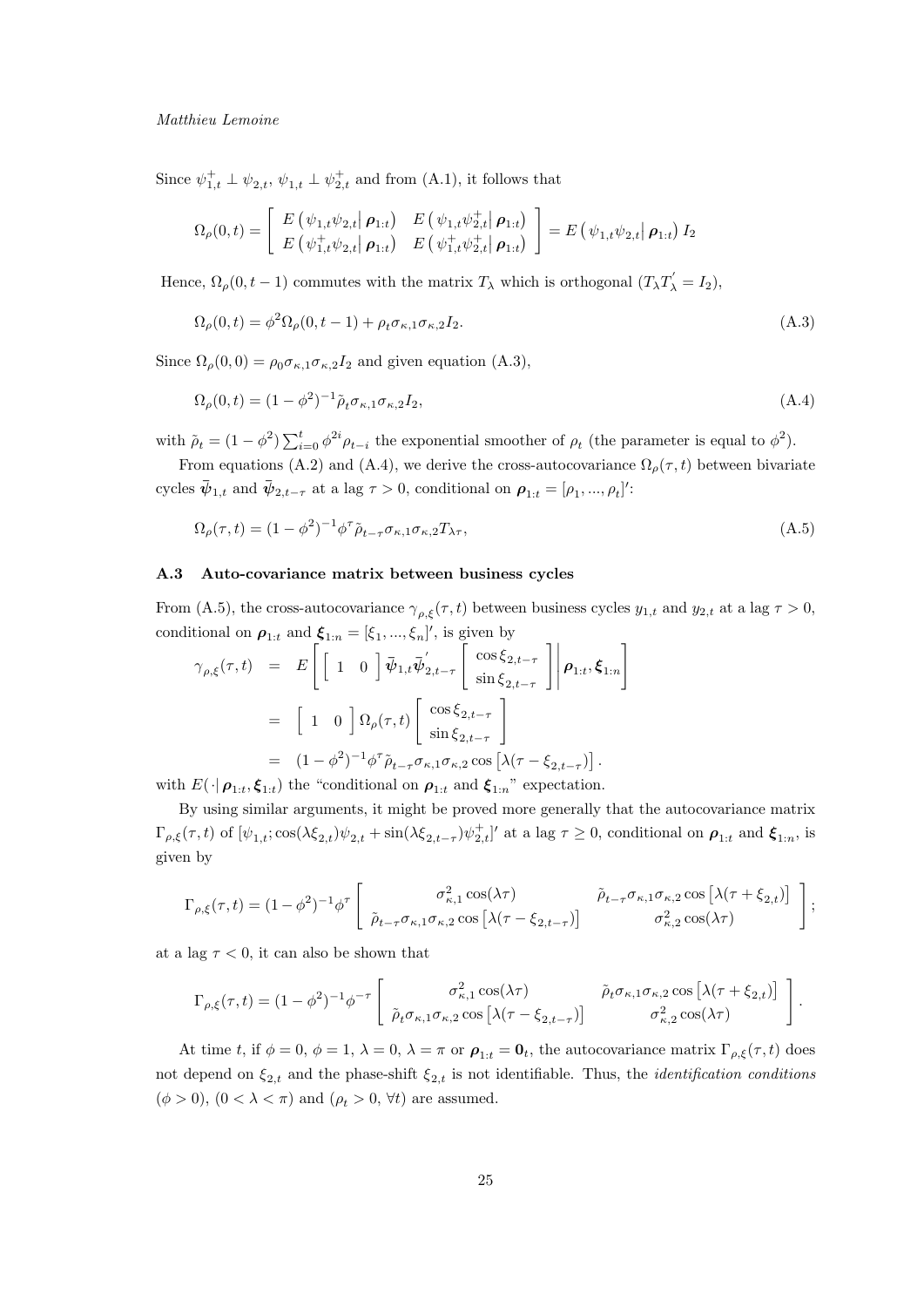#### Matthieu Lemoine

Since  $\psi_{1,t}^+ \perp \psi_{2,t}$ ,  $\psi_{1,t} \perp \psi_{2,t}^+$  and from (A.1), it follows that

$$
\Omega_{\rho}(0,t) = \begin{bmatrix} E(\psi_{1,t}\psi_{2,t}|\boldsymbol{\rho}_{1:t}) & E(\psi_{1,t}\psi_{2,t}^{+}|\boldsymbol{\rho}_{1:t}) \\ E(\psi_{1,t}^{+}\psi_{2,t}|\boldsymbol{\rho}_{1:t}) & E(\psi_{1,t}^{+}\psi_{2,t}^{+}|\boldsymbol{\rho}_{1:t}) \end{bmatrix} = E(\psi_{1,t}\psi_{2,t}|\boldsymbol{\rho}_{1:t}) I_2
$$

Hence,  $\Omega_{\rho}(0, t-1)$  commutes with the matrix  $T_{\lambda}$  which is orthogonal  $(T_{\lambda}T_{\lambda}^{\prime} = I_2)$ ,

$$
\Omega_{\rho}(0,t) = \phi^2 \Omega_{\rho}(0,t-1) + \rho_t \sigma_{\kappa,1} \sigma_{\kappa,2} I_2.
$$
\n(A.3)

Since  $\Omega_{\rho}(0,0) = \rho_0 \sigma_{\kappa,1} \sigma_{\kappa,2} I_2$  and given equation (A.3),

$$
\Omega_{\rho}(0,t) = (1 - \phi^2)^{-1} \tilde{\rho}_t \sigma_{\kappa,1} \sigma_{\kappa,2} I_2,\tag{A.4}
$$

with  $\tilde{\rho}_t = (1 - \phi^2) \sum_{i=0}^t \phi^{2i} \rho_{t-i}$  the exponential smoother of  $\rho_t$  (the parameter is equal to  $\phi^2$ ).

From equations (A.2) and (A.4), we derive the cross-autocovariance  $\Omega_{\rho}(\tau, t)$  between bivariate cycles  $\bar{\psi}_{1,t}$  and  $\bar{\psi}_{2,t-\tau}$  at a lag  $\tau > 0$ , conditional on  $\rho_{1:t} = [\rho_1, ..., \rho_t]'$ :

$$
\Omega_{\rho}(\tau,t) = (1 - \phi^2)^{-1} \phi^{\tau} \tilde{\rho}_{t-\tau} \sigma_{\kappa,1} \sigma_{\kappa,2} T_{\lambda \tau},\tag{A.5}
$$

## A.3 Auto-covariance matrix between business cycles

From (A.5), the cross-autocovariance  $\gamma_{\rho,\xi}(\tau,t)$  between business cycles  $y_{1,t}$  and  $y_{2,t}$  at a lag  $\tau > 0$ , conditional on  $\rho_{1:t}$  and  $\xi_{1:n} = [\xi_1, ..., \xi_n]'$ , is given by

$$
\gamma_{\rho,\xi}(\tau,t) = E\left[\begin{bmatrix} 1 & 0 \end{bmatrix} \bar{\psi}_{1,t} \bar{\psi}'_{2,t-\tau} \begin{bmatrix} \cos \xi_{2,t-\tau} \\ \sin \xi_{2,t-\tau} \end{bmatrix} \middle| \rho_{1:t}, \xi_{1:n} \right]
$$
  
\n
$$
= \begin{bmatrix} 1 & 0 \end{bmatrix} \Omega_{\rho}(\tau,t) \begin{bmatrix} \cos \xi_{2,t-\tau} \\ \sin \xi_{2,t-\tau} \end{bmatrix}
$$
  
\n
$$
= (1 - \phi^2)^{-1} \phi^{\tau} \tilde{\rho}_{t-\tau} \sigma_{\kappa,1} \sigma_{\kappa,2} \cos \left[ \lambda(\tau - \xi_{2,t-\tau}) \right].
$$
  
\n
$$
E(\log \zeta_{\rho})
$$
 the "conditional on a and  $\zeta$ "" expectation

with  $E(\cdot|\boldsymbol{\rho}_{1:t}, \boldsymbol{\xi}_{1:t})$  the "conditional on  $\boldsymbol{\rho}_{1:t}$  and  $\boldsymbol{\xi}_{1:n}$ " expectation.

By using similar arguments, it might be proved more generally that the autocovariance matrix  $\Gamma_{\rho,\xi}(\tau,t)$  of  $[\psi_{1,t}; \cos(\lambda \xi_{2,t})\psi_{2,t} + \sin(\lambda \xi_{2,t-\tau})\psi_{2,t}^+]$  at a lag  $\tau \geq 0$ , conditional on  $\rho_{1:t}$  and  $\xi_{1:n}$ , is given by

$$
\Gamma_{\rho,\xi}(\tau,t) = (1-\phi^2)^{-1} \phi^{\tau} \begin{bmatrix} \sigma_{\kappa,1}^2 \cos(\lambda \tau) & \tilde{\rho}_{t-\tau} \sigma_{\kappa,1} \sigma_{\kappa,2} \cos\left[\lambda(\tau+\xi_{2,t})\right] \\ \tilde{\rho}_{t-\tau} \sigma_{\kappa,1} \sigma_{\kappa,2} \cos\left[\lambda(\tau-\xi_{2,t-\tau})\right] & \sigma_{\kappa,2}^2 \cos(\lambda \tau) \end{bmatrix};
$$

at a lag  $\tau < 0$ , it can also be shown that

$$
\Gamma_{\rho,\xi}(\tau,t) = (1-\phi^2)^{-1}\phi^{-\tau}\left[\begin{array}{cc} \sigma_{\kappa,1}^2\cos(\lambda\tau) & \tilde{\rho}_t\sigma_{\kappa,1}\sigma_{\kappa,2}\cos\left[\lambda(\tau+\xi_{2,t})\right] \\ \tilde{\rho}_t\sigma_{\kappa,1}\sigma_{\kappa,2}\cos\left[\lambda(\tau-\xi_{2,t-\tau})\right] & \sigma_{\kappa,2}^2\cos(\lambda\tau) \end{array}\right].
$$

At time t, if  $\phi = 0$ ,  $\phi = 1$ ,  $\lambda = 0$ ,  $\lambda = \pi$  or  $\rho_{1:t} = \mathbf{0}_t$ , the autocovariance matrix  $\Gamma_{\rho,\xi}(\tau,t)$  does not depend on  $\xi_{2,t}$  and the phase-shift  $\xi_{2,t}$  is not identifiable. Thus, the *identification conditions*  $(\phi > 0)$ ,  $(0 < \lambda < \pi)$  and  $(\rho_t > 0, \forall t)$  are assumed.